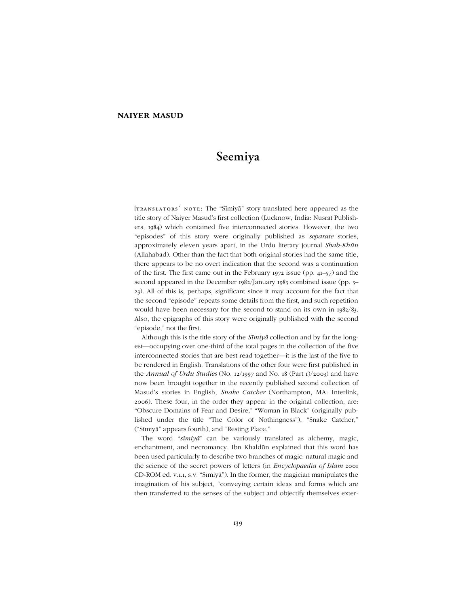# **naiyer masud**

# **Seemiya**

[TRANSLATORS' NOTE: The "Simiya" story translated here appeared as the title story of Naiyer Masud's first collection (Lucknow, India: Nusrat Publishers, 1984) which contained five interconnected stories. However, the two ìepisodesî of this story were originally published as *separate* stories, approximately eleven years apart, in the Urdu literary journal *Shab-Khūn* (Allahabad). Other than the fact that both original stories had the same title, there appears to be no overt indication that the second was a continuation of the first. The first came out in the February 1972 issue (pp.  $41–57$ ) and the second appeared in the December 1982/January 1983 combined issue (pp. 3– 23). All of this is, perhaps, significant since it may account for the fact that the second "episode" repeats some details from the first, and such repetition would have been necessary for the second to stand on its own in 1982/83. Also, the epigraphs of this story were originally published with the second "episode," not the first.

Although this is the title story of the *Sīmiyā* collection and by far the longest—occupying over one-third of the total pages in the collection of the five interconnected stories that are best read together—it is the last of the five to be rendered in English. Translations of the other four were first published in the *Annual of Urdu Studies* (No. 12/1997 and No. 18 (Part 1)/2003) and have now been brought together in the recently published second collection of Masud's stories in English, *Snake Catcher* (Northampton, MA: Interlink, 2006). These four, in the order they appear in the original collection, are: "Obscure Domains of Fear and Desire," "Woman in Black" (originally published under the title "The Color of Nothingness"), "Snake Catcher," ("Sīmiyā" appears fourth), and "Resting Place."

The word "sīmiyā" can be variously translated as alchemy, magic, enchantment, and necromancy. Ibn Khaldūn explained that this word has been used particularly to describe two branches of magic: natural magic and the science of the secret powers of letters (in *Encyclopaedia of Islam* 2001  $CD$ -ROM ed. v.I.I, s.v. "Sīmiyā"). In the former, the magician manipulates the imagination of his subject, "conveying certain ideas and forms which are then transferred to the senses of the subject and objectify themselves exter-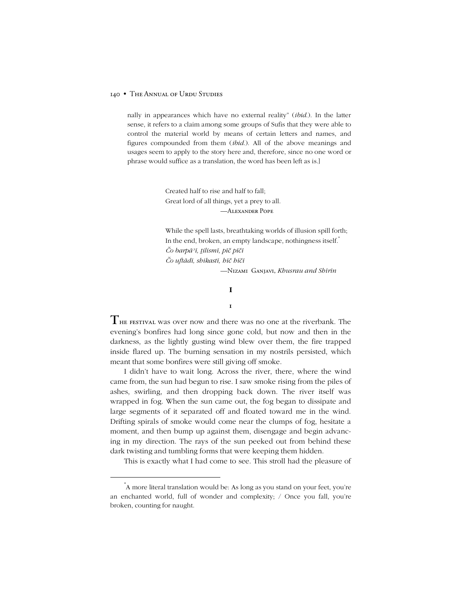nally in appearances which have no external reality" *(ibid.)*. In the latter sense, it refers to a claim among some groups of Sufis that they were able to control the material world by means of certain letters and names, and figures compounded from them (*ibid*.). All of the above meanings and usages seem to apply to the story here and, therefore, since no one word or phrase would suffice as a translation, the word has been left as is.]

> Created half to rise and half to fall; Great lord of all things, yet a prey to all. —Alexander Pope

While the spell lasts, breathtaking worlds of illusion spill forth; In the end, broken, an empty landscape, nothingness itself. $\check{ }$ *Čo barpāʾī, ilismī, pīč pīčī Čo uftādī, shikastī, hīč hīčī* —Nizami Ganjavi, *Khusrau and Shīrīn*

# **I**

#### **1**

**T**he festival was over now and there was no one at the riverbank. The eveningís bonfires had long since gone cold, but now and then in the darkness, as the lightly gusting wind blew over them, the fire trapped inside flared up. The burning sensation in my nostrils persisted, which meant that some bonfires were still giving off smoke.

I didnít have to wait long. Across the river, there, where the wind came from, the sun had begun to rise. I saw smoke rising from the piles of ashes, swirling, and then dropping back down. The river itself was wrapped in fog. When the sun came out, the fog began to dissipate and large segments of it separated off and floated toward me in the wind. Drifting spirals of smoke would come near the clumps of fog, hesitate a moment, and then bump up against them, disengage and begin advancing in my direction. The rays of the sun peeked out from behind these dark twisting and tumbling forms that were keeping them hidden.

This is exactly what I had come to see. This stroll had the pleasure of

 $\overline{a}$ 

 $\bm{\varepsilon}^*$ A more literal translation would be: As long as you stand on your feet, you're an enchanted world, full of wonder and complexity; / Once you fall, you're broken, counting for naught.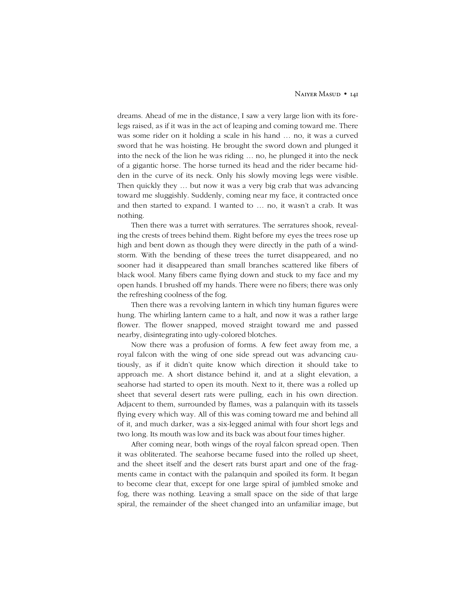dreams. Ahead of me in the distance, I saw a very large lion with its forelegs raised, as if it was in the act of leaping and coming toward me. There was some rider on it holding a scale in his hand ... no, it was a curved sword that he was hoisting. He brought the sword down and plunged it into the neck of the lion he was riding  $\dots$  no, he plunged it into the neck of a gigantic horse. The horse turned its head and the rider became hidden in the curve of its neck. Only his slowly moving legs were visible. Then quickly they ... but now it was a very big crab that was advancing toward me sluggishly. Suddenly, coming near my face, it contracted once and then started to expand. I wanted to ... no, it wasn't a crab. It was nothing.

Then there was a turret with serratures. The serratures shook, revealing the crests of trees behind them. Right before my eyes the trees rose up high and bent down as though they were directly in the path of a windstorm. With the bending of these trees the turret disappeared, and no sooner had it disappeared than small branches scattered like fibers of black wool. Many fibers came flying down and stuck to my face and my open hands. I brushed off my hands. There were no fibers; there was only the refreshing coolness of the fog.

Then there was a revolving lantern in which tiny human figures were hung. The whirling lantern came to a halt, and now it was a rather large flower. The flower snapped, moved straight toward me and passed nearby, disintegrating into ugly-colored blotches.

Now there was a profusion of forms. A few feet away from me, a royal falcon with the wing of one side spread out was advancing cautiously, as if it didnít quite know which direction it should take to approach me. A short distance behind it, and at a slight elevation, a seahorse had started to open its mouth. Next to it, there was a rolled up sheet that several desert rats were pulling, each in his own direction. Adjacent to them, surrounded by flames, was a palanquin with its tassels flying every which way. All of this was coming toward me and behind all of it, and much darker, was a six-legged animal with four short legs and two long. Its mouth was low and its back was about four times higher.

After coming near, both wings of the royal falcon spread open. Then it was obliterated. The seahorse became fused into the rolled up sheet, and the sheet itself and the desert rats burst apart and one of the fragments came in contact with the palanquin and spoiled its form. It began to become clear that, except for one large spiral of jumbled smoke and fog, there was nothing. Leaving a small space on the side of that large spiral, the remainder of the sheet changed into an unfamiliar image, but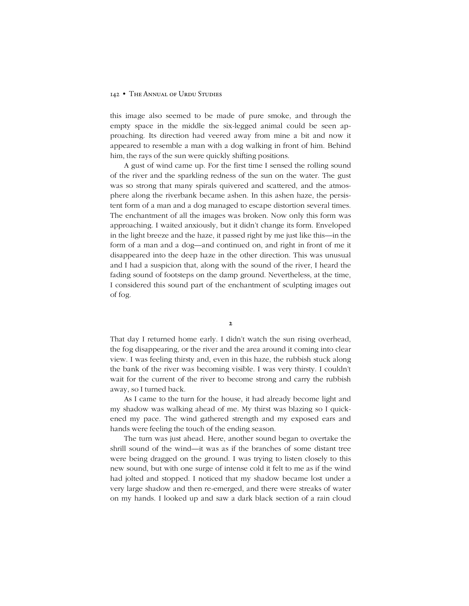this image also seemed to be made of pure smoke, and through the empty space in the middle the six-legged animal could be seen approaching. Its direction had veered away from mine a bit and now it appeared to resemble a man with a dog walking in front of him. Behind him, the rays of the sun were quickly shifting positions.

A gust of wind came up. For the first time I sensed the rolling sound of the river and the sparkling redness of the sun on the water. The gust was so strong that many spirals quivered and scattered, and the atmosphere along the riverbank became ashen. In this ashen haze, the persistent form of a man and a dog managed to escape distortion several times. The enchantment of all the images was broken. Now only this form was approaching. I waited anxiously, but it didnít change its form. Enveloped in the light breeze and the haze, it passed right by me just like this—in the form of a man and a dog—and continued on, and right in front of me it disappeared into the deep haze in the other direction. This was unusual and I had a suspicion that, along with the sound of the river, I heard the fading sound of footsteps on the damp ground. Nevertheless, at the time, I considered this sound part of the enchantment of sculpting images out of fog.

**2**

That day I returned home early. I didn't watch the sun rising overhead, the fog disappearing, or the river and the area around it coming into clear view. I was feeling thirsty and, even in this haze, the rubbish stuck along the bank of the river was becoming visible. I was very thirsty. I couldnít wait for the current of the river to become strong and carry the rubbish away, so I turned back.

As I came to the turn for the house, it had already become light and my shadow was walking ahead of me. My thirst was blazing so I quickened my pace. The wind gathered strength and my exposed ears and hands were feeling the touch of the ending season.

The turn was just ahead. Here, another sound began to overtake the shrill sound of the wind—it was as if the branches of some distant tree were being dragged on the ground. I was trying to listen closely to this new sound, but with one surge of intense cold it felt to me as if the wind had jolted and stopped. I noticed that my shadow became lost under a very large shadow and then re-emerged, and there were streaks of water on my hands. I looked up and saw a dark black section of a rain cloud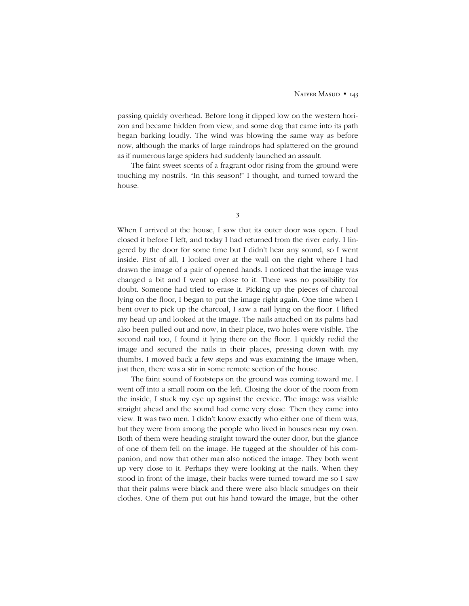passing quickly overhead. Before long it dipped low on the western horizon and became hidden from view, and some dog that came into its path began barking loudly. The wind was blowing the same way as before now, although the marks of large raindrops had splattered on the ground as if numerous large spiders had suddenly launched an assault.

The faint sweet scents of a fragrant odor rising from the ground were touching my nostrils. "In this season!" I thought, and turned toward the house.

**3**

When I arrived at the house, I saw that its outer door was open. I had closed it before I left, and today I had returned from the river early. I lingered by the door for some time but I didn't hear any sound, so I went inside. First of all, I looked over at the wall on the right where I had drawn the image of a pair of opened hands. I noticed that the image was changed a bit and I went up close to it. There was no possibility for doubt. Someone had tried to erase it. Picking up the pieces of charcoal lying on the floor, I began to put the image right again. One time when I bent over to pick up the charcoal, I saw a nail lying on the floor. I lifted my head up and looked at the image. The nails attached on its palms had also been pulled out and now, in their place, two holes were visible. The second nail too, I found it lying there on the floor. I quickly redid the image and secured the nails in their places, pressing down with my thumbs. I moved back a few steps and was examining the image when, just then, there was a stir in some remote section of the house.

The faint sound of footsteps on the ground was coming toward me. I went off into a small room on the left. Closing the door of the room from the inside, I stuck my eye up against the crevice. The image was visible straight ahead and the sound had come very close. Then they came into view. It was two men. I didnít know exactly who either one of them was, but they were from among the people who lived in houses near my own. Both of them were heading straight toward the outer door, but the glance of one of them fell on the image. He tugged at the shoulder of his companion, and now that other man also noticed the image. They both went up very close to it. Perhaps they were looking at the nails. When they stood in front of the image, their backs were turned toward me so I saw that their palms were black and there were also black smudges on their clothes. One of them put out his hand toward the image, but the other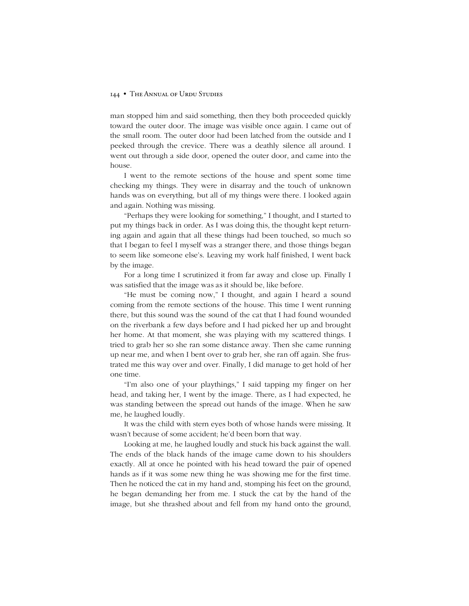man stopped him and said something, then they both proceeded quickly toward the outer door. The image was visible once again. I came out of the small room. The outer door had been latched from the outside and I peeked through the crevice. There was a deathly silence all around. I went out through a side door, opened the outer door, and came into the house.

I went to the remote sections of the house and spent some time checking my things. They were in disarray and the touch of unknown hands was on everything, but all of my things were there. I looked again and again. Nothing was missing.

ìPerhaps they were looking for something,î I thought, and I started to put my things back in order. As I was doing this, the thought kept returning again and again that all these things had been touched, so much so that I began to feel I myself was a stranger there, and those things began to seem like someone else's. Leaving my work half finished, I went back by the image.

For a long time I scrutinized it from far away and close up. Finally I was satisfied that the image was as it should be, like before.

"He must be coming now," I thought, and again I heard a sound coming from the remote sections of the house. This time I went running there, but this sound was the sound of the cat that I had found wounded on the riverbank a few days before and I had picked her up and brought her home. At that moment, she was playing with my scattered things. I tried to grab her so she ran some distance away. Then she came running up near me, and when I bent over to grab her, she ran off again. She frustrated me this way over and over. Finally, I did manage to get hold of her one time.

"I'm also one of your playthings," I said tapping my finger on her head, and taking her, I went by the image. There, as I had expected, he was standing between the spread out hands of the image. When he saw me, he laughed loudly.

It was the child with stern eyes both of whose hands were missing. It wasn't because of some accident; he'd been born that way.

Looking at me, he laughed loudly and stuck his back against the wall. The ends of the black hands of the image came down to his shoulders exactly. All at once he pointed with his head toward the pair of opened hands as if it was some new thing he was showing me for the first time. Then he noticed the cat in my hand and, stomping his feet on the ground, he began demanding her from me. I stuck the cat by the hand of the image, but she thrashed about and fell from my hand onto the ground,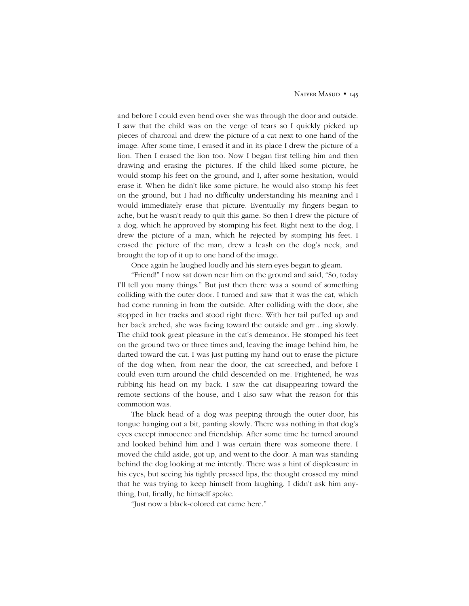and before I could even bend over she was through the door and outside. I saw that the child was on the verge of tears so I quickly picked up pieces of charcoal and drew the picture of a cat next to one hand of the image. After some time, I erased it and in its place I drew the picture of a lion. Then I erased the lion too. Now I began first telling him and then drawing and erasing the pictures. If the child liked some picture, he would stomp his feet on the ground, and I, after some hesitation, would erase it. When he didnít like some picture, he would also stomp his feet on the ground, but I had no difficulty understanding his meaning and I would immediately erase that picture. Eventually my fingers began to ache, but he wasn't ready to quit this game. So then I drew the picture of a dog, which he approved by stomping his feet. Right next to the dog, I drew the picture of a man, which he rejected by stomping his feet. I erased the picture of the man, drew a leash on the dog's neck, and brought the top of it up to one hand of the image.

Once again he laughed loudly and his stern eyes began to gleam.

"Friend!" I now sat down near him on the ground and said, "So, today I'll tell you many things." But just then there was a sound of something colliding with the outer door. I turned and saw that it was the cat, which had come running in from the outside. After colliding with the door, she stopped in her tracks and stood right there. With her tail puffed up and her back arched, she was facing toward the outside and grr...ing slowly. The child took great pleasure in the cat's demeanor. He stomped his feet on the ground two or three times and, leaving the image behind him, he darted toward the cat. I was just putting my hand out to erase the picture of the dog when, from near the door, the cat screeched, and before I could even turn around the child descended on me. Frightened, he was rubbing his head on my back. I saw the cat disappearing toward the remote sections of the house, and I also saw what the reason for this commotion was.

The black head of a dog was peeping through the outer door, his tongue hanging out a bit, panting slowly. There was nothing in that dog's eyes except innocence and friendship. After some time he turned around and looked behind him and I was certain there was someone there. I moved the child aside, got up, and went to the door. A man was standing behind the dog looking at me intently. There was a hint of displeasure in his eyes, but seeing his tightly pressed lips, the thought crossed my mind that he was trying to keep himself from laughing. I didn't ask him anything, but, finally, he himself spoke.

"Just now a black-colored cat came here."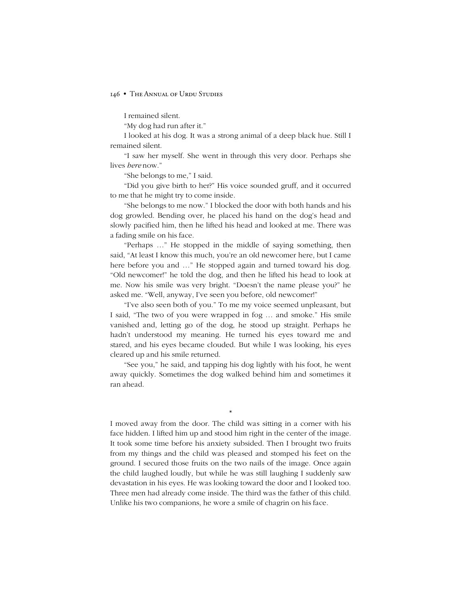I remained silent.

"My dog had run after it."

I looked at his dog. It was a strong animal of a deep black hue. Still I remained silent.

ìI saw her myself. She went in through this very door. Perhaps she lives *here* now."

"She belongs to me," I said.

ìDid you give birth to her?î His voice sounded gruff, and it occurred to me that he might try to come inside.

"She belongs to me now." I blocked the door with both hands and his dog growled. Bending over, he placed his hand on the dog's head and slowly pacified him, then he lifted his head and looked at me. There was a fading smile on his face.

"Perhaps ..." He stopped in the middle of saying something, then said, "At least I know this much, you're an old newcomer here, but I came here before you and ..." He stopped again and turned toward his dog. ìOld newcomer!î he told the dog, and then he lifted his head to look at me. Now his smile was very bright. "Doesn't the name please you?" he asked me. "Well, anyway, I've seen you before, old newcomer!"

"I've also seen both of you." To me my voice seemed unpleasant, but I said, "The two of you were wrapped in fog ... and smoke." His smile vanished and, letting go of the dog, he stood up straight. Perhaps he hadn't understood my meaning. He turned his eyes toward me and stared, and his eyes became clouded. But while I was looking, his eyes cleared up and his smile returned.

"See you," he said, and tapping his dog lightly with his foot, he went away quickly. Sometimes the dog walked behind him and sometimes it ran ahead.

\*

I moved away from the door. The child was sitting in a corner with his face hidden. I lifted him up and stood him right in the center of the image. It took some time before his anxiety subsided. Then I brought two fruits from my things and the child was pleased and stomped his feet on the ground. I secured those fruits on the two nails of the image. Once again the child laughed loudly, but while he was still laughing I suddenly saw devastation in his eyes. He was looking toward the door and I looked too. Three men had already come inside. The third was the father of this child. Unlike his two companions, he wore a smile of chagrin on his face.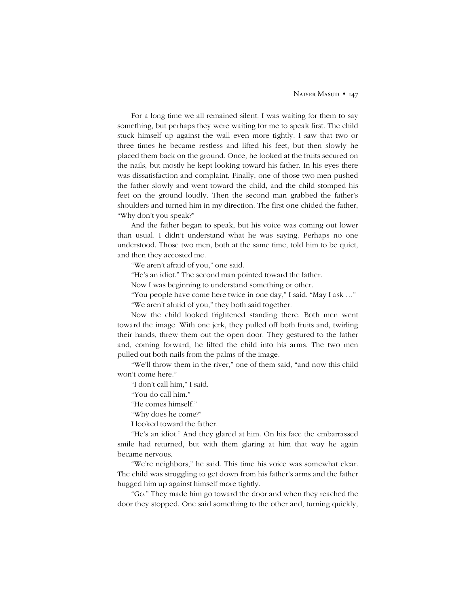#### NAIYER MASUD • 147

For a long time we all remained silent. I was waiting for them to say something, but perhaps they were waiting for me to speak first. The child stuck himself up against the wall even more tightly. I saw that two or three times he became restless and lifted his feet, but then slowly he placed them back on the ground. Once, he looked at the fruits secured on the nails, but mostly he kept looking toward his father. In his eyes there was dissatisfaction and complaint. Finally, one of those two men pushed the father slowly and went toward the child, and the child stomped his feet on the ground loudly. Then the second man grabbed the father's shoulders and turned him in my direction. The first one chided the father, "Why don't you speak?"

And the father began to speak, but his voice was coming out lower than usual. I didnít understand what he was saying. Perhaps no one understood. Those two men, both at the same time, told him to be quiet, and then they accosted me.

"We aren't afraid of you," one said.

"He's an idiot." The second man pointed toward the father.

Now I was beginning to understand something or other.

"You people have come here twice in one day," I said. "May I ask ..." "We aren't afraid of you," they both said together.

Now the child looked frightened standing there. Both men went toward the image. With one jerk, they pulled off both fruits and, twirling their hands, threw them out the open door. They gestured to the father and, coming forward, he lifted the child into his arms. The two men pulled out both nails from the palms of the image.

"We'll throw them in the river," one of them said, "and now this child won't come here."

"I don't call him," I said.

"You do call him."

"He comes himself."

"Why does he come?"

I looked toward the father.

"He's an idiot." And they glared at him. On his face the embarrassed smile had returned, but with them glaring at him that way he again became nervous.

"We're neighbors," he said. This time his voice was somewhat clear. The child was struggling to get down from his father's arms and the father hugged him up against himself more tightly.

ìGo.î They made him go toward the door and when they reached the door they stopped. One said something to the other and, turning quickly,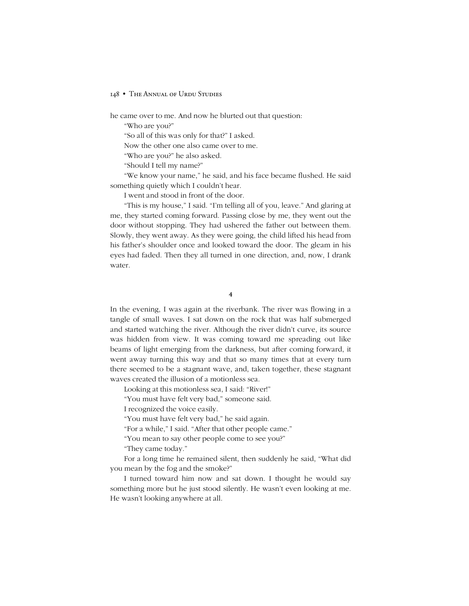he came over to me. And now he blurted out that question:

"Who are you?"

"So all of this was only for that?" I asked.

Now the other one also came over to me.

"Who are you?" he also asked.

"Should I tell my name?"

ìWe know your name,î he said, and his face became flushed. He said something quietly which I couldn't hear.

I went and stood in front of the door.

"This is my house," I said. "I'm telling all of you, leave." And glaring at me, they started coming forward. Passing close by me, they went out the door without stopping. They had ushered the father out between them. Slowly, they went away. As they were going, the child lifted his head from his father's shoulder once and looked toward the door. The gleam in his eyes had faded. Then they all turned in one direction, and, now, I drank water.

**4**

In the evening, I was again at the riverbank. The river was flowing in a tangle of small waves. I sat down on the rock that was half submerged and started watching the river. Although the river didn't curve, its source was hidden from view. It was coming toward me spreading out like beams of light emerging from the darkness, but after coming forward, it went away turning this way and that so many times that at every turn there seemed to be a stagnant wave, and, taken together, these stagnant waves created the illusion of a motionless sea.

Looking at this motionless sea, I said: "River!"

"You must have felt very bad," someone said.

I recognized the voice easily.

"You must have felt very bad," he said again.

"For a while," I said. "After that other people came."

"You mean to say other people come to see you?"

"They came today."

For a long time he remained silent, then suddenly he said, "What did you mean by the fog and the smoke?"

I turned toward him now and sat down. I thought he would say something more but he just stood silently. He wasn't even looking at me. He wasn't looking anywhere at all.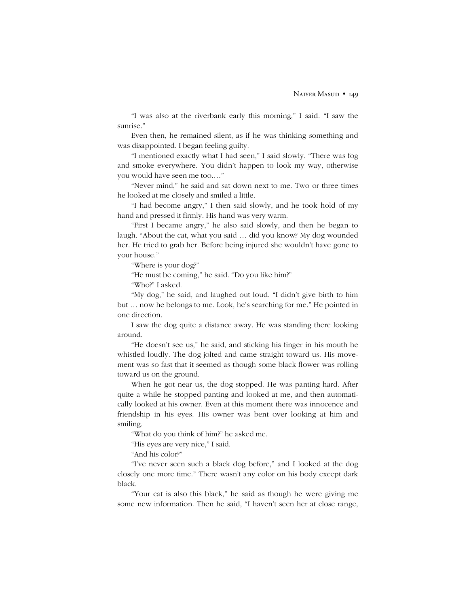"I was also at the riverbank early this morning," I said. "I saw the sunrise."

Even then, he remained silent, as if he was thinking something and was disappointed. I began feeling guilty.

"I mentioned exactly what I had seen," I said slowly. "There was fog and smoke everywhere. You didn't happen to look my way, otherwise you would have seen me too...."

"Never mind," he said and sat down next to me. Two or three times he looked at me closely and smiled a little.

"I had become angry," I then said slowly, and he took hold of my hand and pressed it firmly. His hand was very warm.

ìFirst I became angry,î he also said slowly, and then he began to laugh. "About the cat, what you said ... did you know? My dog wounded her. He tried to grab her. Before being injured she wouldn't have gone to your house."

"Where is your dog?"

"He must be coming," he said. "Do you like him?"

ìWho?î I asked.

"My dog," he said, and laughed out loud. "I didn't give birth to him but  $\ldots$  now he belongs to me. Look, he's searching for me." He pointed in one direction.

I saw the dog quite a distance away. He was standing there looking around.

"He doesn't see us," he said, and sticking his finger in his mouth he whistled loudly. The dog jolted and came straight toward us. His movement was so fast that it seemed as though some black flower was rolling toward us on the ground.

When he got near us, the dog stopped. He was panting hard. After quite a while he stopped panting and looked at me, and then automatically looked at his owner. Even at this moment there was innocence and friendship in his eyes. His owner was bent over looking at him and smiling.

ìWhat do you think of him?î he asked me.

"His eyes are very nice," I said.

"And his color?"

"I've never seen such a black dog before," and I looked at the dog closely one more time." There wasn't any color on his body except dark black.

"Your cat is also this black," he said as though he were giving me some new information. Then he said, "I haven't seen her at close range,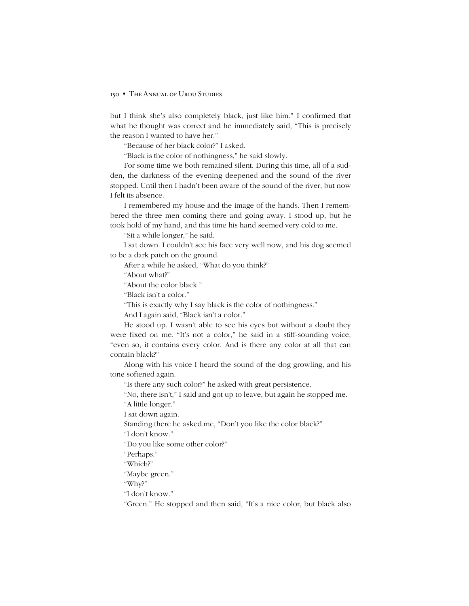but I think she's also completely black, just like him." I confirmed that what he thought was correct and he immediately said, "This is precisely the reason I wanted to have her."

ìBecause of her black color?î I asked.

"Black is the color of nothingness," he said slowly.

For some time we both remained silent. During this time, all of a sudden, the darkness of the evening deepened and the sound of the river stopped. Until then I hadn't been aware of the sound of the river, but now I felt its absence.

I remembered my house and the image of the hands. Then I remembered the three men coming there and going away. I stood up, but he took hold of my hand, and this time his hand seemed very cold to me.

"Sit a while longer," he said.

I sat down. I couldn't see his face very well now, and his dog seemed to be a dark patch on the ground.

After a while he asked, "What do you think?"

"About what?"

"About the color black."

"Black isn't a color."

"This is exactly why I say black is the color of nothingness."

And I again said, "Black isn't a color."

He stood up. I wasn't able to see his eyes but without a doubt they were fixed on me. "It's not a color," he said in a stiff-sounding voice, "even so, it contains every color. And is there any color at all that can contain black?"

Along with his voice I heard the sound of the dog growling, and his tone softened again.

"Is there any such color?" he asked with great persistence.

"No, there isn't," I said and got up to leave, but again he stopped me.

"A little longer." I sat down again.

Standing there he asked me, "Don't you like the color black?"

"I don't know."

ìDo you like some other color?î

"Perhaps."

ìWhich?î

"Maybe green."

ìWhy?î

"I don't know."

"Green." He stopped and then said, "It's a nice color, but black also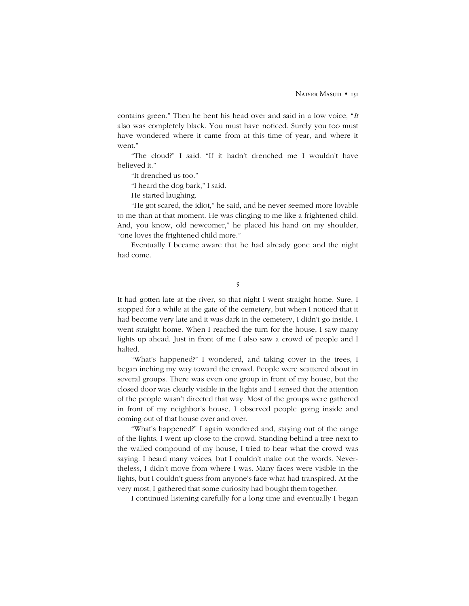contains green." Then he bent his head over and said in a low voice, "*It* also was completely black. You must have noticed. Surely you too must have wondered where it came from at this time of year, and where it went."

"The cloud?" I said. "If it hadn't drenched me I wouldn't have believed it."

"It drenched us too."

"I heard the dog bark," I said.

He started laughing.

"He got scared, the idiot," he said, and he never seemed more lovable to me than at that moment. He was clinging to me like a frightened child. And, you know, old newcomer," he placed his hand on my shoulder, "one loves the frightened child more."

Eventually I became aware that he had already gone and the night had come.

**5**

It had gotten late at the river, so that night I went straight home. Sure, I stopped for a while at the gate of the cemetery, but when I noticed that it had become very late and it was dark in the cemetery, I didn't go inside. I went straight home. When I reached the turn for the house, I saw many lights up ahead. Just in front of me I also saw a crowd of people and I halted.

ìWhatís happened?î I wondered, and taking cover in the trees, I began inching my way toward the crowd. People were scattered about in several groups. There was even one group in front of my house, but the closed door was clearly visible in the lights and I sensed that the attention of the people wasnít directed that way. Most of the groups were gathered in front of my neighbor's house. I observed people going inside and coming out of that house over and over.

ìWhatís happened?î I again wondered and, staying out of the range of the lights, I went up close to the crowd. Standing behind a tree next to the walled compound of my house, I tried to hear what the crowd was saying. I heard many voices, but I couldn't make out the words. Nevertheless, I didnít move from where I was. Many faces were visible in the lights, but I couldn't guess from anyone's face what had transpired. At the very most, I gathered that some curiosity had bought them together.

I continued listening carefully for a long time and eventually I began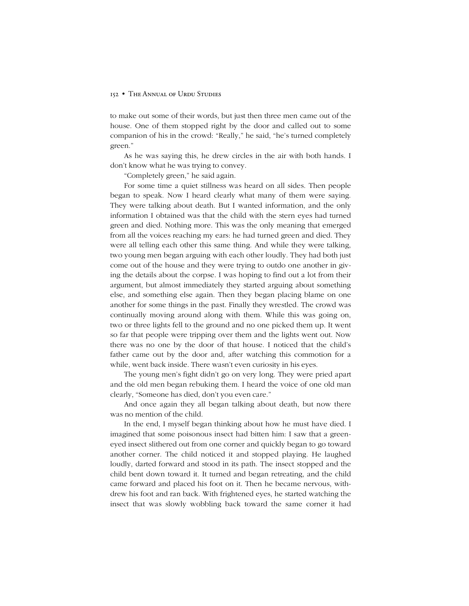to make out some of their words, but just then three men came out of the house. One of them stopped right by the door and called out to some companion of his in the crowd: "Really," he said, "he's turned completely green."

As he was saying this, he drew circles in the air with both hands. I donít know what he was trying to convey.

ìCompletely green,î he said again.

For some time a quiet stillness was heard on all sides. Then people began to speak. Now I heard clearly what many of them were saying. They were talking about death. But I wanted information, and the only information I obtained was that the child with the stern eyes had turned green and died. Nothing more. This was the only meaning that emerged from all the voices reaching my ears: he had turned green and died. They were all telling each other this same thing. And while they were talking, two young men began arguing with each other loudly. They had both just come out of the house and they were trying to outdo one another in giving the details about the corpse. I was hoping to find out a lot from their argument, but almost immediately they started arguing about something else, and something else again. Then they began placing blame on one another for some things in the past. Finally they wrestled. The crowd was continually moving around along with them. While this was going on, two or three lights fell to the ground and no one picked them up. It went so far that people were tripping over them and the lights went out. Now there was no one by the door of that house. I noticed that the child's father came out by the door and, after watching this commotion for a while, went back inside. There wasn't even curiosity in his eyes.

The young men's fight didn't go on very long. They were pried apart and the old men began rebuking them. I heard the voice of one old man clearly, "Someone has died, don't you even care."

And once again they all began talking about death, but now there was no mention of the child.

In the end, I myself began thinking about how he must have died. I imagined that some poisonous insect had bitten him: I saw that a greeneyed insect slithered out from one corner and quickly began to go toward another corner. The child noticed it and stopped playing. He laughed loudly, darted forward and stood in its path. The insect stopped and the child bent down toward it. It turned and began retreating, and the child came forward and placed his foot on it. Then he became nervous, withdrew his foot and ran back. With frightened eyes, he started watching the insect that was slowly wobbling back toward the same corner it had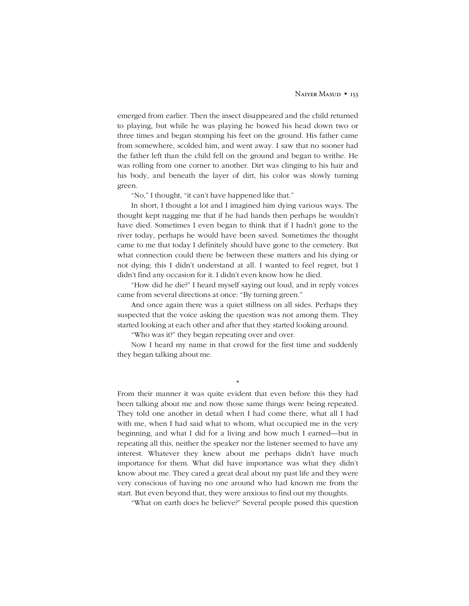emerged from earlier. Then the insect disappeared and the child returned to playing, but while he was playing he bowed his head down two or three times and began stomping his feet on the ground. His father came from somewhere, scolded him, and went away. I saw that no sooner had the father left than the child fell on the ground and began to writhe. He was rolling from one corner to another. Dirt was clinging to his hair and his body, and beneath the layer of dirt, his color was slowly turning green.

"No," I thought, "it can't have happened like that."

In short, I thought a lot and I imagined him dying various ways. The thought kept nagging me that if he had hands then perhaps he wouldn't have died. Sometimes I even began to think that if I hadn't gone to the river today, perhaps he would have been saved. Sometimes the thought came to me that today I definitely should have gone to the cemetery. But what connection could there be between these matters and his dying or not dying; this I didnít understand at all. I wanted to feel regret, but I didn't find any occasion for it. I didn't even know how he died.

ìHow did he die?î I heard myself saying out loud, and in reply voices came from several directions at once: "By turning green."

And once again there was a quiet stillness on all sides. Perhaps they suspected that the voice asking the question was not among them. They started looking at each other and after that they started looking around.

ìWho was it?î they began repeating over and over.

Now I heard my name in that crowd for the first time and suddenly they began talking about me.

\*

From their manner it was quite evident that even before this they had been talking about me and now those same things were being repeated. They told one another in detail when I had come there, what all I had with me, when I had said what to whom, what occupied me in the very beginning, and what I did for a living and how much I earned—but in repeating all this, neither the speaker nor the listener seemed to have any interest. Whatever they knew about me perhaps didn't have much importance for them. What did have importance was what they didn't know about me. They cared a great deal about my past life and they were very conscious of having no one around who had known me from the start. But even beyond that, they were anxious to find out my thoughts.

ìWhat on earth does he believe?î Several people posed this question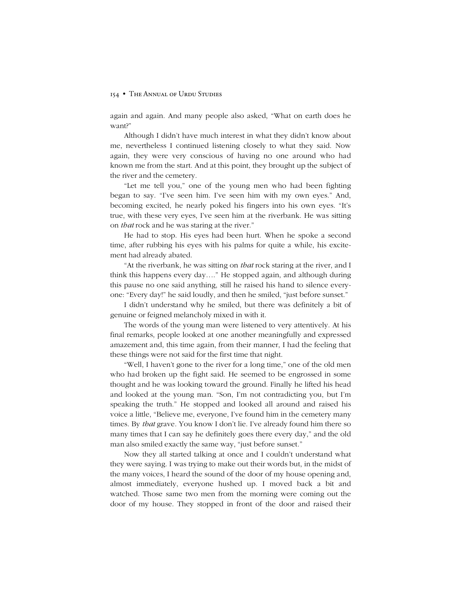again and again. And many people also asked, "What on earth does he want?"

Although I didn't have much interest in what they didn't know about me, nevertheless I continued listening closely to what they said. Now again, they were very conscious of having no one around who had known me from the start. And at this point, they brought up the subject of the river and the cemetery.

"Let me tell you," one of the young men who had been fighting began to say. "I've seen him. I've seen him with my own eyes." And, becoming excited, he nearly poked his fingers into his own eyes. "It's true, with these very eyes, I've seen him at the riverbank. He was sitting on *that* rock and he was staring at the river.<sup>"</sup>

He had to stop. His eyes had been hurt. When he spoke a second time, after rubbing his eyes with his palms for quite a while, his excitement had already abated.

ìAt the riverbank, he was sitting on *that* rock staring at the river, and I think this happens every day...." He stopped again, and although during this pause no one said anything, still he raised his hand to silence everyone: "Every day!" he said loudly, and then he smiled, "just before sunset."

I didnít understand why he smiled, but there was definitely a bit of genuine or feigned melancholy mixed in with it.

The words of the young man were listened to very attentively. At his final remarks, people looked at one another meaningfully and expressed amazement and, this time again, from their manner, I had the feeling that these things were not said for the first time that night.

"Well, I haven't gone to the river for a long time," one of the old men who had broken up the fight said. He seemed to be engrossed in some thought and he was looking toward the ground. Finally he lifted his head and looked at the young man. "Son, I'm not contradicting you, but I'm speaking the truth." He stopped and looked all around and raised his voice a little, "Believe me, everyone, I've found him in the cemetery many times. By *that* grave. You know I don't lie. I've already found him there so many times that I can say he definitely goes there every day," and the old man also smiled exactly the same way, "just before sunset."

Now they all started talking at once and I couldn't understand what they were saying. I was trying to make out their words but, in the midst of the many voices, I heard the sound of the door of my house opening and, almost immediately, everyone hushed up. I moved back a bit and watched. Those same two men from the morning were coming out the door of my house. They stopped in front of the door and raised their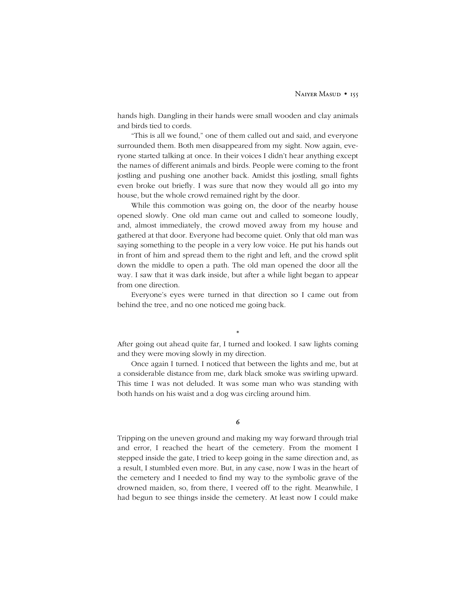hands high. Dangling in their hands were small wooden and clay animals and birds tied to cords.

"This is all we found," one of them called out and said, and everyone surrounded them. Both men disappeared from my sight. Now again, everyone started talking at once. In their voices I didn't hear anything except the names of different animals and birds. People were coming to the front jostling and pushing one another back. Amidst this jostling, small fights even broke out briefly. I was sure that now they would all go into my house, but the whole crowd remained right by the door.

While this commotion was going on, the door of the nearby house opened slowly. One old man came out and called to someone loudly, and, almost immediately, the crowd moved away from my house and gathered at that door. Everyone had become quiet. Only that old man was saying something to the people in a very low voice. He put his hands out in front of him and spread them to the right and left, and the crowd split down the middle to open a path. The old man opened the door all the way. I saw that it was dark inside, but after a while light began to appear from one direction.

Everyone's eyes were turned in that direction so I came out from behind the tree, and no one noticed me going back.

\*

After going out ahead quite far, I turned and looked. I saw lights coming and they were moving slowly in my direction.

Once again I turned. I noticed that between the lights and me, but at a considerable distance from me, dark black smoke was swirling upward. This time I was not deluded. It was some man who was standing with both hands on his waist and a dog was circling around him.

Tripping on the uneven ground and making my way forward through trial and error, I reached the heart of the cemetery. From the moment I stepped inside the gate, I tried to keep going in the same direction and, as a result, I stumbled even more. But, in any case, now I was in the heart of the cemetery and I needed to find my way to the symbolic grave of the drowned maiden, so, from there, I veered off to the right. Meanwhile, I had begun to see things inside the cemetery. At least now I could make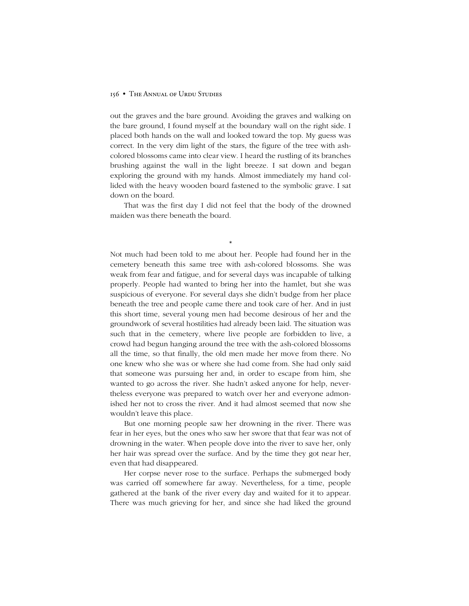out the graves and the bare ground. Avoiding the graves and walking on the bare ground, I found myself at the boundary wall on the right side. I placed both hands on the wall and looked toward the top. My guess was correct. In the very dim light of the stars, the figure of the tree with ashcolored blossoms came into clear view. I heard the rustling of its branches brushing against the wall in the light breeze. I sat down and began exploring the ground with my hands. Almost immediately my hand collided with the heavy wooden board fastened to the symbolic grave. I sat down on the board.

That was the first day I did not feel that the body of the drowned maiden was there beneath the board.

\*

Not much had been told to me about her. People had found her in the cemetery beneath this same tree with ash-colored blossoms. She was weak from fear and fatigue, and for several days was incapable of talking properly. People had wanted to bring her into the hamlet, but she was suspicious of everyone. For several days she didn't budge from her place beneath the tree and people came there and took care of her. And in just this short time, several young men had become desirous of her and the groundwork of several hostilities had already been laid. The situation was such that in the cemetery, where live people are forbidden to live, a crowd had begun hanging around the tree with the ash-colored blossoms all the time, so that finally, the old men made her move from there. No one knew who she was or where she had come from. She had only said that someone was pursuing her and, in order to escape from him, she wanted to go across the river. She hadn't asked anyone for help, nevertheless everyone was prepared to watch over her and everyone admonished her not to cross the river. And it had almost seemed that now she wouldn't leave this place.

But one morning people saw her drowning in the river. There was fear in her eyes, but the ones who saw her swore that that fear was not of drowning in the water. When people dove into the river to save her, only her hair was spread over the surface. And by the time they got near her, even that had disappeared.

Her corpse never rose to the surface. Perhaps the submerged body was carried off somewhere far away. Nevertheless, for a time, people gathered at the bank of the river every day and waited for it to appear. There was much grieving for her, and since she had liked the ground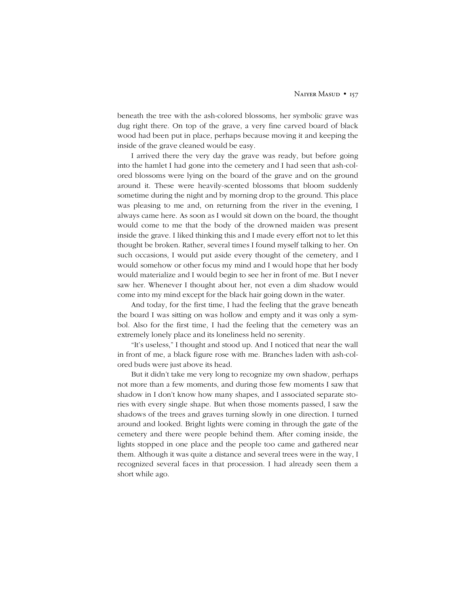beneath the tree with the ash-colored blossoms, her symbolic grave was dug right there. On top of the grave, a very fine carved board of black wood had been put in place, perhaps because moving it and keeping the inside of the grave cleaned would be easy.

I arrived there the very day the grave was ready, but before going into the hamlet I had gone into the cemetery and I had seen that ash-colored blossoms were lying on the board of the grave and on the ground around it. These were heavily-scented blossoms that bloom suddenly sometime during the night and by morning drop to the ground. This place was pleasing to me and, on returning from the river in the evening, I always came here. As soon as I would sit down on the board, the thought would come to me that the body of the drowned maiden was present inside the grave. I liked thinking this and I made every effort not to let this thought be broken. Rather, several times I found myself talking to her. On such occasions, I would put aside every thought of the cemetery, and I would somehow or other focus my mind and I would hope that her body would materialize and I would begin to see her in front of me. But I never saw her. Whenever I thought about her, not even a dim shadow would come into my mind except for the black hair going down in the water.

And today, for the first time, I had the feeling that the grave beneath the board I was sitting on was hollow and empty and it was only a symbol. Also for the first time, I had the feeling that the cemetery was an extremely lonely place and its loneliness held no serenity.

"It's useless," I thought and stood up. And I noticed that near the wall in front of me, a black figure rose with me. Branches laden with ash-colored buds were just above its head.

But it didn't take me very long to recognize my own shadow, perhaps not more than a few moments, and during those few moments I saw that shadow in I don't know how many shapes, and I associated separate stories with every single shape. But when those moments passed, I saw the shadows of the trees and graves turning slowly in one direction. I turned around and looked. Bright lights were coming in through the gate of the cemetery and there were people behind them. After coming inside, the lights stopped in one place and the people too came and gathered near them. Although it was quite a distance and several trees were in the way, I recognized several faces in that procession. I had already seen them a short while ago.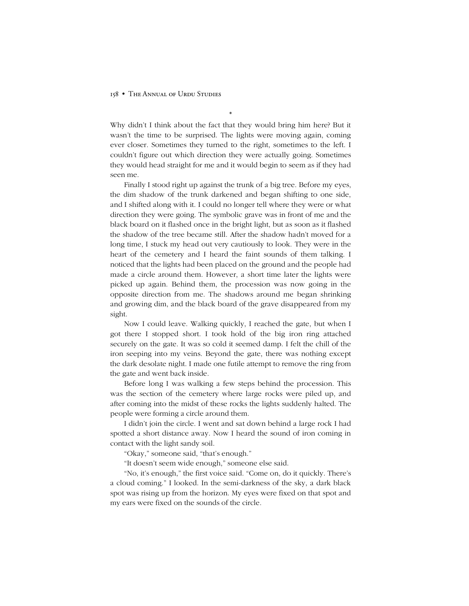Why didn't I think about the fact that they would bring him here? But it wasn't the time to be surprised. The lights were moving again, coming ever closer. Sometimes they turned to the right, sometimes to the left. I couldn't figure out which direction they were actually going. Sometimes they would head straight for me and it would begin to seem as if they had seen me.

Finally I stood right up against the trunk of a big tree. Before my eyes, the dim shadow of the trunk darkened and began shifting to one side, and I shifted along with it. I could no longer tell where they were or what direction they were going. The symbolic grave was in front of me and the black board on it flashed once in the bright light, but as soon as it flashed the shadow of the tree became still. After the shadow hadn't moved for a long time, I stuck my head out very cautiously to look. They were in the heart of the cemetery and I heard the faint sounds of them talking. I noticed that the lights had been placed on the ground and the people had made a circle around them. However, a short time later the lights were picked up again. Behind them, the procession was now going in the opposite direction from me. The shadows around me began shrinking and growing dim, and the black board of the grave disappeared from my sight.

Now I could leave. Walking quickly, I reached the gate, but when I got there I stopped short. I took hold of the big iron ring attached securely on the gate. It was so cold it seemed damp. I felt the chill of the iron seeping into my veins. Beyond the gate, there was nothing except the dark desolate night. I made one futile attempt to remove the ring from the gate and went back inside.

Before long I was walking a few steps behind the procession. This was the section of the cemetery where large rocks were piled up, and after coming into the midst of these rocks the lights suddenly halted. The people were forming a circle around them.

I didnít join the circle. I went and sat down behind a large rock I had spotted a short distance away. Now I heard the sound of iron coming in contact with the light sandy soil.

"Okay," someone said, "that's enough."

"It doesn't seem wide enough," someone else said.

"No, it's enough," the first voice said. "Come on, do it quickly. There's a cloud coming." I looked. In the semi-darkness of the sky, a dark black spot was rising up from the horizon. My eyes were fixed on that spot and my ears were fixed on the sounds of the circle.

\*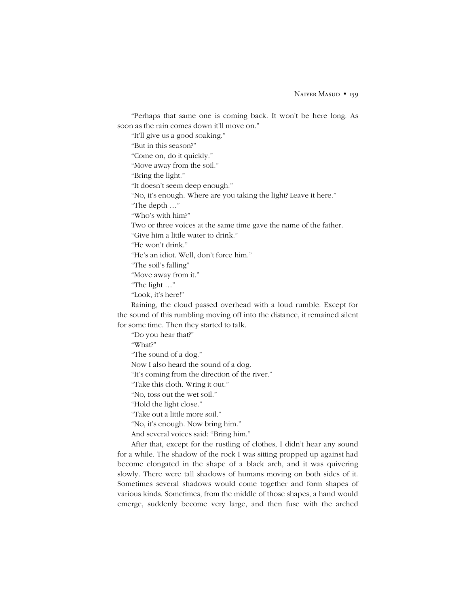"Perhaps that same one is coming back. It won't be here long. As soon as the rain comes down it'll move on."

"It'll give us a good soaking." "But in this season?"

"Come on, do it quickly."

"Move away from the soil."

"Bring the light."

"It doesn't seem deep enough."

"No, it's enough. Where are you taking the light? Leave it here."

"The depth ..."

"Who's with him?"

Two or three voices at the same time gave the name of the father.

"Give him a little water to drink."

"He won't drink."

"He's an idiot. Well, don't force him."

"The soil's falling"

"Move away from it."

"The light  $\dots$ "

"Look, it's here!"

Raining, the cloud passed overhead with a loud rumble. Except for the sound of this rumbling moving off into the distance, it remained silent for some time. Then they started to talk.

ìDo you hear that?î

"What?"

"The sound of a dog."

Now I also heard the sound of a dog.

"It's coming from the direction of the river."

"Take this cloth. Wring it out."

"No, toss out the wet soil."

"Hold the light close."

"Take out a little more soil."

"No, it's enough. Now bring him."

And several voices said: "Bring him."

After that, except for the rustling of clothes, I didn't hear any sound for a while. The shadow of the rock I was sitting propped up against had become elongated in the shape of a black arch, and it was quivering slowly. There were tall shadows of humans moving on both sides of it. Sometimes several shadows would come together and form shapes of various kinds. Sometimes, from the middle of those shapes, a hand would emerge, suddenly become very large, and then fuse with the arched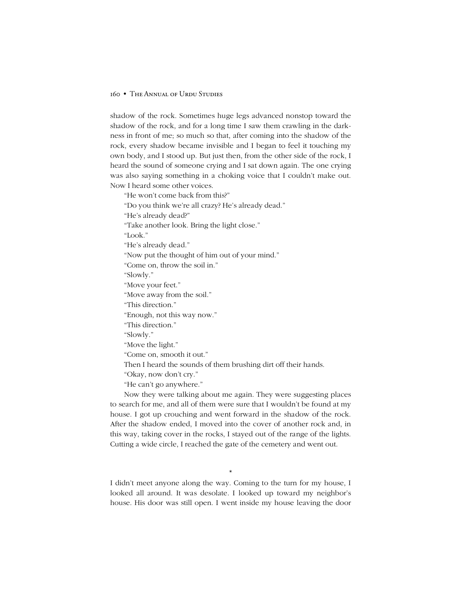shadow of the rock. Sometimes huge legs advanced nonstop toward the shadow of the rock, and for a long time I saw them crawling in the darkness in front of me; so much so that, after coming into the shadow of the rock, every shadow became invisible and I began to feel it touching my own body, and I stood up. But just then, from the other side of the rock, I heard the sound of someone crying and I sat down again. The one crying was also saying something in a choking voice that I couldn't make out. Now I heard some other voices.

"He won't come back from this?"

- "Do you think we're all crazy? He's already dead."
- "He's already dead?"
- "Take another look. Bring the light close."

"Look."

- "He's already dead."
- "Now put the thought of him out of your mind."
- "Come on, throw the soil in."

"Slowly."

- "Move your feet."
- "Move away from the soil."
- "This direction."
- "Enough, not this way now."
- "This direction."
- "Slowly."
- "Move the light."
- "Come on, smooth it out."
- Then I heard the sounds of them brushing dirt off their hands.
- ìOkay, now donít cry.î
- "He can't go anywhere."

Now they were talking about me again. They were suggesting places to search for me, and all of them were sure that I wouldn't be found at my house. I got up crouching and went forward in the shadow of the rock. After the shadow ended, I moved into the cover of another rock and, in this way, taking cover in the rocks, I stayed out of the range of the lights. Cutting a wide circle, I reached the gate of the cemetery and went out.

I didnít meet anyone along the way. Coming to the turn for my house, I looked all around. It was desolate. I looked up toward my neighbor's house. His door was still open. I went inside my house leaving the door

\*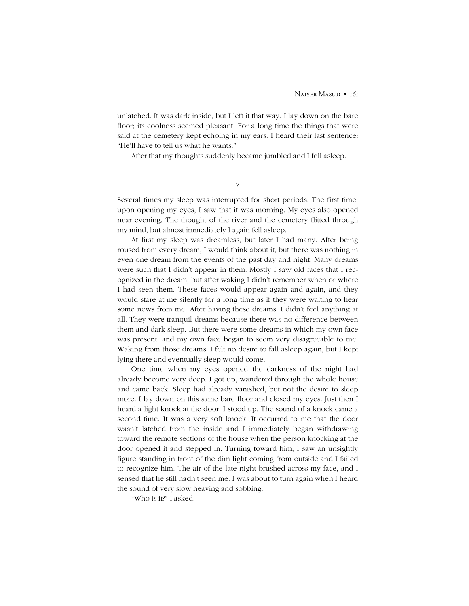unlatched. It was dark inside, but I left it that way. I lay down on the bare floor; its coolness seemed pleasant. For a long time the things that were said at the cemetery kept echoing in my ears. I heard their last sentence: "He'll have to tell us what he wants."

After that my thoughts suddenly became jumbled and I fell asleep.

**7**

Several times my sleep was interrupted for short periods. The first time, upon opening my eyes, I saw that it was morning. My eyes also opened near evening. The thought of the river and the cemetery flitted through my mind, but almost immediately I again fell asleep.

At first my sleep was dreamless, but later I had many. After being roused from every dream, I would think about it, but there was nothing in even one dream from the events of the past day and night. Many dreams were such that I didn't appear in them. Mostly I saw old faces that I recognized in the dream, but after waking I didn't remember when or where I had seen them. These faces would appear again and again, and they would stare at me silently for a long time as if they were waiting to hear some news from me. After having these dreams, I didn't feel anything at all. They were tranquil dreams because there was no difference between them and dark sleep. But there were some dreams in which my own face was present, and my own face began to seem very disagreeable to me. Waking from those dreams, I felt no desire to fall asleep again, but I kept lying there and eventually sleep would come.

One time when my eyes opened the darkness of the night had already become very deep. I got up, wandered through the whole house and came back. Sleep had already vanished, but not the desire to sleep more. I lay down on this same bare floor and closed my eyes. Just then I heard a light knock at the door. I stood up. The sound of a knock came a second time. It was a very soft knock. It occurred to me that the door wasn't latched from the inside and I immediately began withdrawing toward the remote sections of the house when the person knocking at the door opened it and stepped in. Turning toward him, I saw an unsightly figure standing in front of the dim light coming from outside and I failed to recognize him. The air of the late night brushed across my face, and I sensed that he still hadn't seen me. I was about to turn again when I heard the sound of very slow heaving and sobbing.

ìWho is it?î I asked.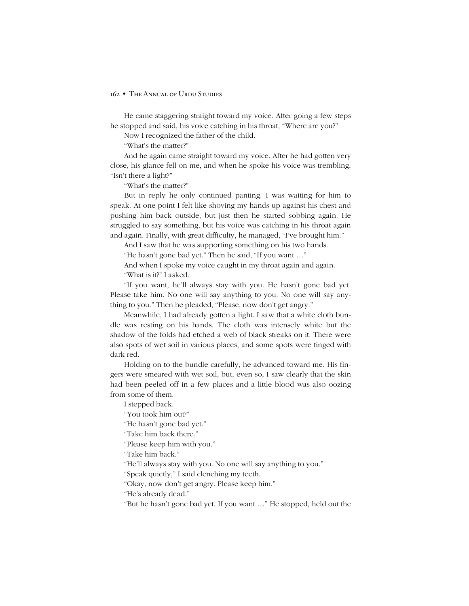He came staggering straight toward my voice. After going a few steps he stopped and said, his voice catching in his throat, "Where are you?"

Now I recognized the father of the child.

"What's the matter?"

And he again came straight toward my voice. After he had gotten very close, his glance fell on me, and when he spoke his voice was trembling, "Isn't there a light?"

"What's the matter?"

But in reply he only continued panting. I was waiting for him to speak. At one point I felt like shoving my hands up against his chest and pushing him back outside, but just then he started sobbing again. He struggled to say something, but his voice was catching in his throat again and again. Finally, with great difficulty, he managed, "I've brought him."

And I saw that he was supporting something on his two hands.

"He hasn't gone bad yet." Then he said, "If you want ..."

And when I spoke my voice caught in my throat again and again. ìWhat is it?î I asked.

"If you want, he'll always stay with you. He hasn't gone bad yet. Please take him. No one will say anything to you. No one will say anything to you." Then he pleaded, "Please, now don't get angry."

Meanwhile, I had already gotten a light. I saw that a white cloth bundle was resting on his hands. The cloth was intensely white but the shadow of the folds had etched a web of black streaks on it. There were also spots of wet soil in various places, and some spots were tinged with dark red.

Holding on to the bundle carefully, he advanced toward me. His fingers were smeared with wet soil, but, even so, I saw clearly that the skin had been peeled off in a few places and a little blood was also oozing from some of them.

I stepped back.

"You took him out?"

"He hasn't gone bad yet."

"Take him back there."

*Please keep him with you.*"

"Take him back."

"He'll always stay with you. No one will say anything to you."

ìSpeak quietly,î I said clenching my teeth.

ìOkay, now donít get angry. Please keep him.î

"He's already dead."

"But he hasn't gone bad yet. If you want ..." He stopped, held out the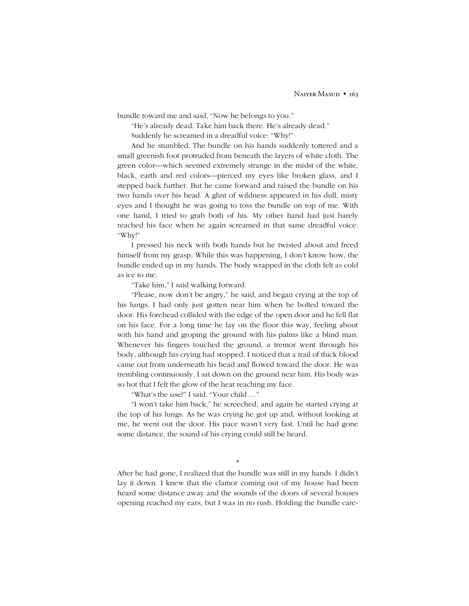bundle toward me and said, "Now he belongs to you."

"He's already dead. Take him back there. He's already dead."

Suddenly he screamed in a dreadful voice: "Why!"

And he stumbled. The bundle on his hands suddenly tottered and a small greenish foot protruded from beneath the layers of white cloth. The green color—which seemed extremely strange in the midst of the white, black, earth and red colors—pierced my eyes like broken glass, and I stepped back further. But he came forward and raised the bundle on his two hands over his head. A glint of wildness appeared in his dull, misty eyes and I thought he was going to toss the bundle on top of me. With one hand, I tried to grab both of his. My other hand had just barely reached his face when he again screamed in that same dreadful voice: "Why!"

I pressed his neck with both hands but he twisted about and freed himself from my grasp. While this was happening, I don't know how, the bundle ended up in my hands. The body wrapped in the cloth felt as cold as ice to me.

ìTake him,î I said walking forward.

ìPlease, now donít be angry,î he said, and began crying at the top of his lungs. I had only just gotten near him when he bolted toward the door. His forehead collided with the edge of the open door and he fell flat on his face. For a long time he lay on the floor this way, feeling about with his hand and groping the ground with his palms like a blind man. Whenever his fingers touched the ground, a tremor went through his body, although his crying had stopped. I noticed that a trail of thick blood came out from underneath his head and flowed toward the door. He was trembling continuously. I sat down on the ground near him. His body was so hot that I felt the glow of the heat reaching my face.

"What's the use?" I said. "Your child ..."

"I won't take him back," he screeched, and again he started crying at the top of his lungs. As he was crying he got up and, without looking at me, he went out the door. His pace wasn't very fast. Until he had gone some distance, the sound of his crying could still be heard.

After he had gone, I realized that the bundle was still in my hands. I didn't lay it down. I knew that the clamor coming out of my house had been heard some distance away and the sounds of the doors of several houses opening reached my ears, but I was in no rush. Holding the bundle care-

\*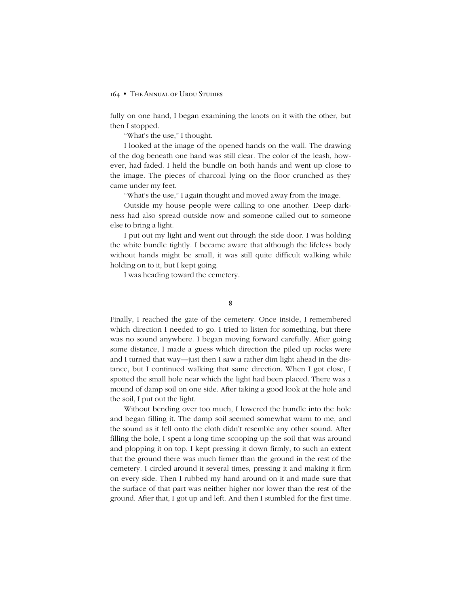fully on one hand, I began examining the knots on it with the other, but then I stopped.

"What's the use," I thought.

I looked at the image of the opened hands on the wall. The drawing of the dog beneath one hand was still clear. The color of the leash, however, had faded. I held the bundle on both hands and went up close to the image. The pieces of charcoal lying on the floor crunched as they came under my feet.

"What's the use," I again thought and moved away from the image.

Outside my house people were calling to one another. Deep darkness had also spread outside now and someone called out to someone else to bring a light.

I put out my light and went out through the side door. I was holding the white bundle tightly. I became aware that although the lifeless body without hands might be small, it was still quite difficult walking while holding on to it, but I kept going.

I was heading toward the cemetery.

**8**

Finally, I reached the gate of the cemetery. Once inside, I remembered which direction I needed to go. I tried to listen for something, but there was no sound anywhere. I began moving forward carefully. After going some distance, I made a guess which direction the piled up rocks were and I turned that way—just then I saw a rather dim light ahead in the distance, but I continued walking that same direction. When I got close, I spotted the small hole near which the light had been placed. There was a mound of damp soil on one side. After taking a good look at the hole and the soil, I put out the light.

Without bending over too much, I lowered the bundle into the hole and began filling it. The damp soil seemed somewhat warm to me, and the sound as it fell onto the cloth didnít resemble any other sound. After filling the hole, I spent a long time scooping up the soil that was around and plopping it on top. I kept pressing it down firmly, to such an extent that the ground there was much firmer than the ground in the rest of the cemetery. I circled around it several times, pressing it and making it firm on every side. Then I rubbed my hand around on it and made sure that the surface of that part was neither higher nor lower than the rest of the ground. After that, I got up and left. And then I stumbled for the first time.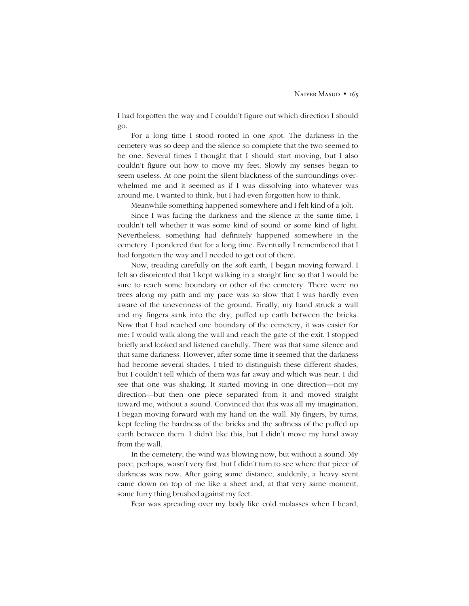I had forgotten the way and I couldn't figure out which direction I should go.

For a long time I stood rooted in one spot. The darkness in the cemetery was so deep and the silence so complete that the two seemed to be one. Several times I thought that I should start moving, but I also couldn't figure out how to move my feet. Slowly my senses began to seem useless. At one point the silent blackness of the surroundings overwhelmed me and it seemed as if I was dissolving into whatever was around me. I wanted to think, but I had even forgotten how to think.

Meanwhile something happened somewhere and I felt kind of a jolt.

Since I was facing the darkness and the silence at the same time, I couldn't tell whether it was some kind of sound or some kind of light. Nevertheless, something had definitely happened somewhere in the cemetery. I pondered that for a long time. Eventually I remembered that I had forgotten the way and I needed to get out of there.

Now, treading carefully on the soft earth, I began moving forward. I felt so disoriented that I kept walking in a straight line so that I would be sure to reach some boundary or other of the cemetery. There were no trees along my path and my pace was so slow that I was hardly even aware of the unevenness of the ground. Finally, my hand struck a wall and my fingers sank into the dry, puffed up earth between the bricks. Now that I had reached one boundary of the cemetery, it was easier for me: I would walk along the wall and reach the gate of the exit. I stopped briefly and looked and listened carefully. There was that same silence and that same darkness. However, after some time it seemed that the darkness had become several shades. I tried to distinguish these different shades, but I couldnít tell which of them was far away and which was near. I did see that one was shaking. It started moving in one direction—not my direction—but then one piece separated from it and moved straight toward me, without a sound. Convinced that this was all my imagination, I began moving forward with my hand on the wall. My fingers, by turns, kept feeling the hardness of the bricks and the softness of the puffed up earth between them. I didn't like this, but I didn't move my hand away from the wall.

In the cemetery, the wind was blowing now, but without a sound. My pace, perhaps, wasn't very fast, but I didn't turn to see where that piece of darkness was now. After going some distance, suddenly, a heavy scent came down on top of me like a sheet and, at that very same moment, some furry thing brushed against my feet.

Fear was spreading over my body like cold molasses when I heard,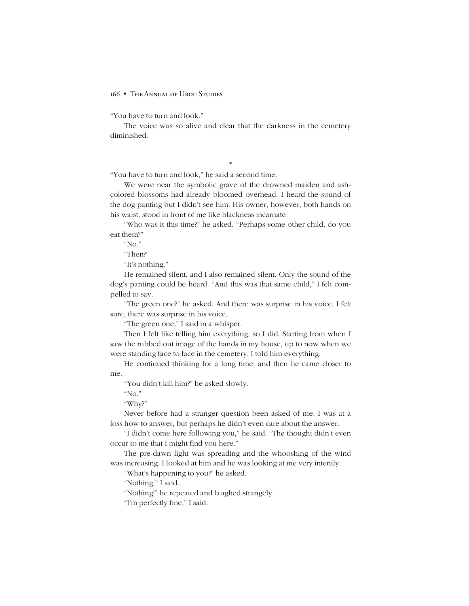"You have to turn and look."

The voice was so alive and clear that the darkness in the cemetery diminished.

"You have to turn and look," he said a second time.

We were near the symbolic grave of the drowned maiden and ashcolored blossoms had already bloomed overhead. I heard the sound of the dog panting but I didnít see him. His owner, however, both hands on his waist, stood in front of me like blackness incarnate.

\*

"Who was it this time?" he asked. "Perhaps some other child, do you eat them?"

" $No.$ "

"Then?"

"It's nothing."

He remained silent, and I also remained silent. Only the sound of the dog's panting could be heard. "And this was that same child," I felt compelled to say.

ìThe green one?î he asked. And there was surprise in his voice. I felt sure, there was surprise in his voice.

"The green one," I said in a whisper.

Then I felt like telling him everything, so I did. Starting from when I saw the rubbed out image of the hands in my house, up to now when we were standing face to face in the cemetery, I told him everything.

He continued thinking for a long time, and then he came closer to me.

ìYou didnít kill him?î he asked slowly.

" $No.$ "

ìWhy?î

Never before had a stranger question been asked of me. I was at a loss how to answer, but perhaps he didn't even care about the answer.

"I didn't come here following you," he said. "The thought didn't even occur to me that I might find you here.<sup>"</sup>

The pre-dawn light was spreading and the whooshing of the wind was increasing. I looked at him and he was looking at me very intently.

"What's happening to you?" he asked.

"Nothing," I said.

ìNothing!î he repeated and laughed strangely.

"I'm perfectly fine," I said.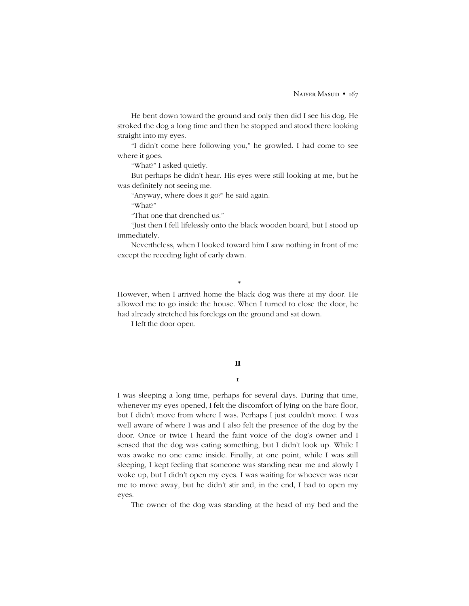He bent down toward the ground and only then did I see his dog. He stroked the dog a long time and then he stopped and stood there looking straight into my eyes.

"I didn't come here following you," he growled. I had come to see where it goes.

ìWhat?î I asked quietly.

But perhaps he didnít hear. His eyes were still looking at me, but he was definitely not seeing me.

ìAnyway, where does it go?î he said again.

ìWhat?î

"That one that drenched us."

ìJust then I fell lifelessly onto the black wooden board, but I stood up immediately.

Nevertheless, when I looked toward him I saw nothing in front of me except the receding light of early dawn.

\*

However, when I arrived home the black dog was there at my door. He allowed me to go inside the house. When I turned to close the door, he had already stretched his forelegs on the ground and sat down.

I left the door open.

#### **II**

# **1**

I was sleeping a long time, perhaps for several days. During that time, whenever my eyes opened, I felt the discomfort of lying on the bare floor, but I didn't move from where I was. Perhaps I just couldn't move. I was well aware of where I was and I also felt the presence of the dog by the door. Once or twice I heard the faint voice of the dog's owner and I sensed that the dog was eating something, but I didn't look up. While I was awake no one came inside. Finally, at one point, while I was still sleeping, I kept feeling that someone was standing near me and slowly I woke up, but I didnít open my eyes. I was waiting for whoever was near me to move away, but he didn't stir and, in the end, I had to open my eyes.

The owner of the dog was standing at the head of my bed and the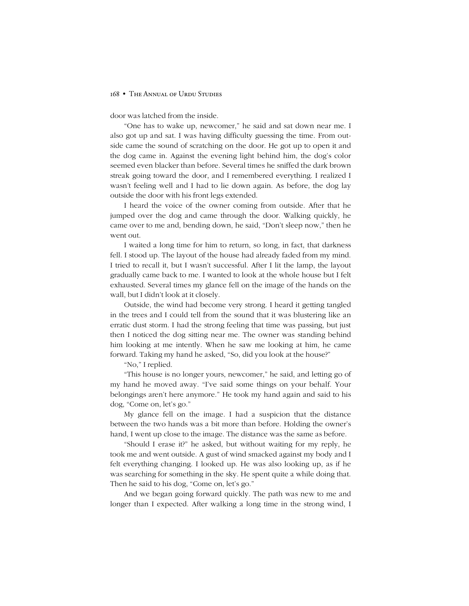door was latched from the inside.

"One has to wake up, newcomer," he said and sat down near me. I also got up and sat. I was having difficulty guessing the time. From outside came the sound of scratching on the door. He got up to open it and the dog came in. Against the evening light behind him, the dog's color seemed even blacker than before. Several times he sniffed the dark brown streak going toward the door, and I remembered everything. I realized I wasn't feeling well and I had to lie down again. As before, the dog lay outside the door with his front legs extended.

I heard the voice of the owner coming from outside. After that he jumped over the dog and came through the door. Walking quickly, he came over to me and, bending down, he said, "Don't sleep now," then he went out.

I waited a long time for him to return, so long, in fact, that darkness fell. I stood up. The layout of the house had already faded from my mind. I tried to recall it, but I wasnít successful. After I lit the lamp, the layout gradually came back to me. I wanted to look at the whole house but I felt exhausted. Several times my glance fell on the image of the hands on the wall, but I didn't look at it closely.

Outside, the wind had become very strong. I heard it getting tangled in the trees and I could tell from the sound that it was blustering like an erratic dust storm. I had the strong feeling that time was passing, but just then I noticed the dog sitting near me. The owner was standing behind him looking at me intently. When he saw me looking at him, he came forward. Taking my hand he asked, "So, did you look at the house?"

"No," I replied.

ìThis house is no longer yours, newcomer,î he said, and letting go of my hand he moved away. "I've said some things on your behalf. Your belongings aren't here anymore." He took my hand again and said to his dog, "Come on, let's go."

My glance fell on the image. I had a suspicion that the distance between the two hands was a bit more than before. Holding the owner's hand, I went up close to the image. The distance was the same as before.

ìShould I erase it?î he asked, but without waiting for my reply, he took me and went outside. A gust of wind smacked against my body and I felt everything changing. I looked up. He was also looking up, as if he was searching for something in the sky. He spent quite a while doing that. Then he said to his dog, "Come on, let's go."

And we began going forward quickly. The path was new to me and longer than I expected. After walking a long time in the strong wind, I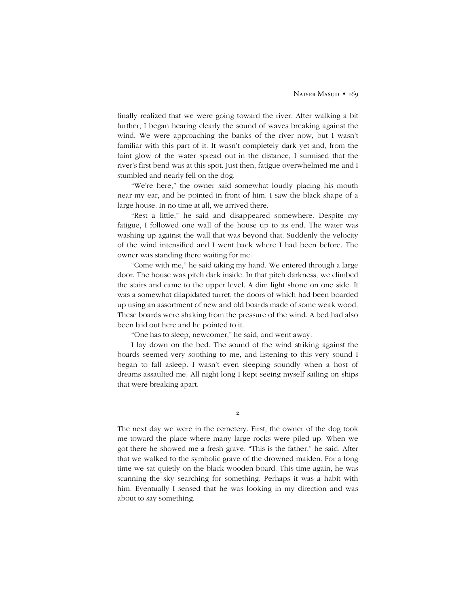finally realized that we were going toward the river. After walking a bit further, I began hearing clearly the sound of waves breaking against the wind. We were approaching the banks of the river now, but I wasn't familiar with this part of it. It wasn't completely dark yet and, from the faint glow of the water spread out in the distance, I surmised that the river's first bend was at this spot. Just then, fatigue overwhelmed me and I stumbled and nearly fell on the dog.

"We're here," the owner said somewhat loudly placing his mouth near my ear, and he pointed in front of him. I saw the black shape of a large house. In no time at all, we arrived there.

"Rest a little," he said and disappeared somewhere. Despite my fatigue, I followed one wall of the house up to its end. The water was washing up against the wall that was beyond that. Suddenly the velocity of the wind intensified and I went back where I had been before. The owner was standing there waiting for me.

ìCome with me,î he said taking my hand. We entered through a large door. The house was pitch dark inside. In that pitch darkness, we climbed the stairs and came to the upper level. A dim light shone on one side. It was a somewhat dilapidated turret, the doors of which had been boarded up using an assortment of new and old boards made of some weak wood. These boards were shaking from the pressure of the wind. A bed had also been laid out here and he pointed to it.

"One has to sleep, newcomer," he said, and went away.

I lay down on the bed. The sound of the wind striking against the boards seemed very soothing to me, and listening to this very sound I began to fall asleep. I wasn't even sleeping soundly when a host of dreams assaulted me. All night long I kept seeing myself sailing on ships that were breaking apart.

**2**

The next day we were in the cemetery. First, the owner of the dog took me toward the place where many large rocks were piled up. When we got there he showed me a fresh grave. "This is the father," he said. After that we walked to the symbolic grave of the drowned maiden. For a long time we sat quietly on the black wooden board. This time again, he was scanning the sky searching for something. Perhaps it was a habit with him. Eventually I sensed that he was looking in my direction and was about to say something.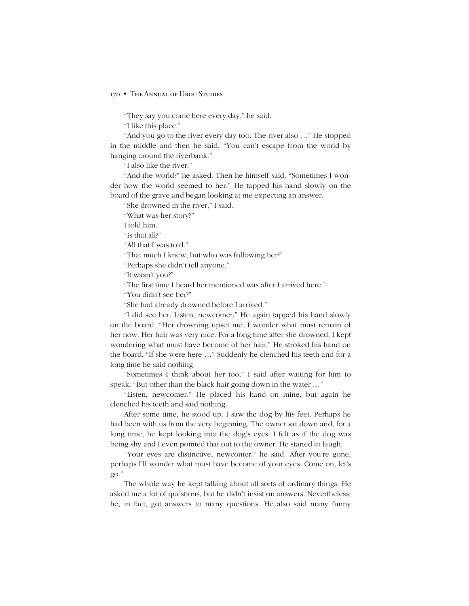# 170 • THE ANNUAL OF URDU STUDIES

"They say you come here every day," he said.

"I like this place."

"And you go to the river every day too. The river also ..." He stopped in the middle and then he said, "You can't escape from the world by hanging around the riverbank."

"I also like the river."

"And the world?" he asked. Then he himself said, "Sometimes I wonder how the world seemed to her." He tapped his hand slowly on the board of the grave and began looking at me expecting an answer.

"She drowned in the river," I said.

ìWhat was her story?î

I told him.

"Is that all?"

"All that I was told."

"That much I knew, but who was following her?"

"Perhaps she didn't tell anyone."

"It wasn't you?"

"The first time I heard her mentioned was after I arrived here."

"You didn't see her?"

"She had already drowned before I arrived."

"I did see her. Listen, newcomer." He again tapped his hand slowly on the board. "Her drowning upset me. I wonder what must remain of her now. Her hair was very nice. For a long time after she drowned, I kept wondering what must have become of her hair." He stroked his hand on the board. "If she were here ..." Suddenly he clenched his teeth and for a long time he said nothing.

"Sometimes I think about her too," I said after waiting for him to speak. "But other than the black hair going down in the water ..."

ìListen, newcomer.î He placed his hand on mine, but again he clenched his teeth and said nothing.

After some time, he stood up. I saw the dog by his feet. Perhaps he had been with us from the very beginning. The owner sat down and, for a long time, he kept looking into the dog's eyes. I felt as if the dog was being shy and I even pointed that out to the owner. He started to laugh.

"Your eyes are distinctive, newcomer," he said. After you're gone, perhaps I'll wonder what must have become of your eyes. Come on, let's  $\overline{QO}$ .

The whole way he kept talking about all sorts of ordinary things. He asked me a lot of questions, but he didnít insist on answers. Nevertheless, he, in fact, got answers to many questions. He also said many funny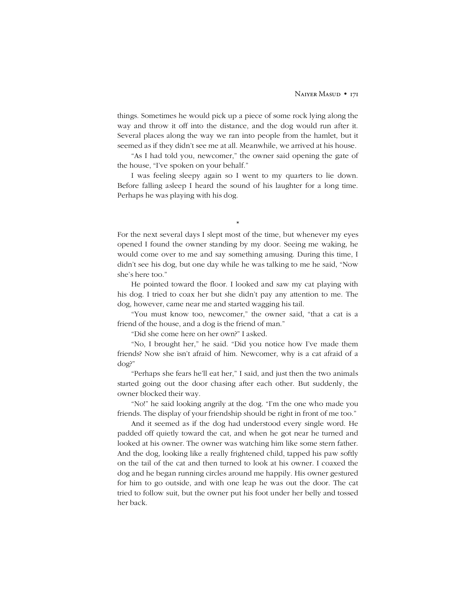things. Sometimes he would pick up a piece of some rock lying along the way and throw it off into the distance, and the dog would run after it. Several places along the way we ran into people from the hamlet, but it seemed as if they didn't see me at all. Meanwhile, we arrived at his house.

"As I had told you, newcomer," the owner said opening the gate of the house, "I've spoken on your behalf."

I was feeling sleepy again so I went to my quarters to lie down. Before falling asleep I heard the sound of his laughter for a long time. Perhaps he was playing with his dog.

\*

For the next several days I slept most of the time, but whenever my eyes opened I found the owner standing by my door. Seeing me waking, he would come over to me and say something amusing. During this time, I didn't see his dog, but one day while he was talking to me he said, "Now she's here too."

He pointed toward the floor. I looked and saw my cat playing with his dog. I tried to coax her but she didn't pay any attention to me. The dog, however, came near me and started wagging his tail.

"You must know too, newcomer," the owner said, "that a cat is a friend of the house, and a dog is the friend of man."

"Did she come here on her own?" I asked.

"No, I brought her," he said. "Did you notice how I've made them friends? Now she isn't afraid of him. Newcomer, why is a cat afraid of a dog?î

"Perhaps she fears he'll eat her," I said, and just then the two animals started going out the door chasing after each other. But suddenly, the owner blocked their way.

"No!" he said looking angrily at the dog. "I'm the one who made you friends. The display of your friendship should be right in front of me too."

And it seemed as if the dog had understood every single word. He padded off quietly toward the cat, and when he got near he turned and looked at his owner. The owner was watching him like some stern father. And the dog, looking like a really frightened child, tapped his paw softly on the tail of the cat and then turned to look at his owner. I coaxed the dog and he began running circles around me happily. His owner gestured for him to go outside, and with one leap he was out the door. The cat tried to follow suit, but the owner put his foot under her belly and tossed her back.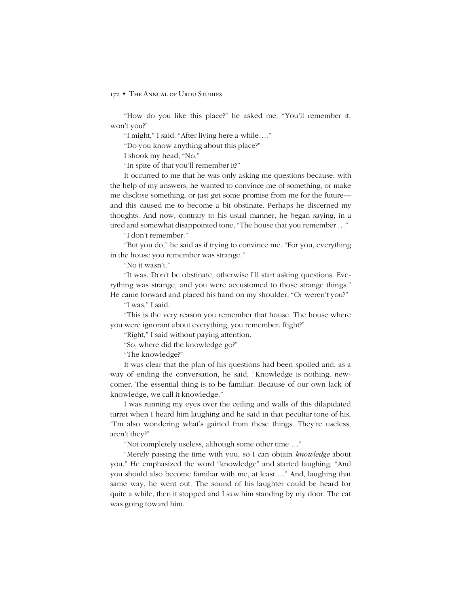"How do you like this place?" he asked me. "You'll remember it, won't you?"

"I might," I said. "After living here a while...."

"Do you know anything about this place?"

I shook my head, "No."

"In spite of that you'll remember it?"

It occurred to me that he was only asking me questions because, with the help of my answers, he wanted to convince me of something, or make me disclose something, or just get some promise from me for the future and this caused me to become a bit obstinate. Perhaps he discerned my thoughts. And now, contrary to his usual manner, he began saying, in a tired and somewhat disappointed tone, "The house that you remember ..."

"I don't remember."

"But you do," he said as if trying to convince me. "For you, everything in the house you remember was strange."

"No it wasn't."

ìIt was. Donít be obstinate, otherwise Iíll start asking questions. Everything was strange, and you were accustomed to those strange things." He came forward and placed his hand on my shoulder, "Or weren't you?"

"I was." I said.

ìThis is the very reason you remember that house. The house where you were ignorant about everything, you remember. Right?"

"Right," I said without paying attention.

"So, where did the knowledge go?"

"The knowledge?"

It was clear that the plan of his questions had been spoiled and, as a way of ending the conversation, he said, "Knowledge is nothing, newcomer. The essential thing is to be familiar. Because of our own lack of knowledge, we call it knowledge."

I was running my eyes over the ceiling and walls of this dilapidated turret when I heard him laughing and he said in that peculiar tone of his, "I'm also wondering what's gained from these things. They're useless, aren't they?"

"Not completely useless, although some other time ..."

ìMerely passing the time with you, so I can obtain *knowledge* about you." He emphasized the word "knowledge" and started laughing. "And you should also become familiar with me, at least...." And, laughing that same way, he went out. The sound of his laughter could be heard for quite a while, then it stopped and I saw him standing by my door. The cat was going toward him.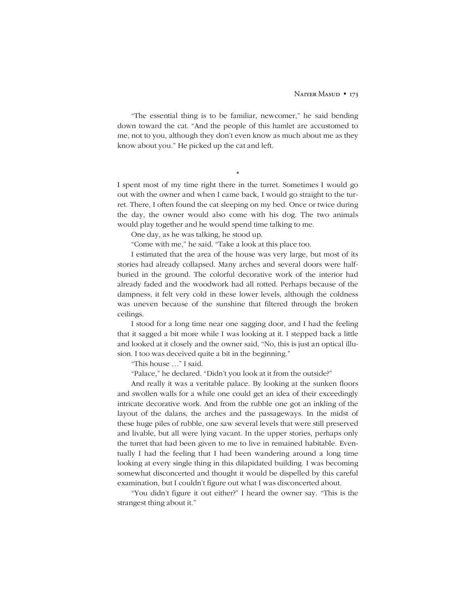"The essential thing is to be familiar, newcomer," he said bending down toward the cat. "And the people of this hamlet are accustomed to me, not to you, although they don't even know as much about me as they know about you." He picked up the cat and left.

\*

I spent most of my time right there in the turret. Sometimes I would go out with the owner and when I came back, I would go straight to the turret. There, I often found the cat sleeping on my bed. Once or twice during the day, the owner would also come with his dog. The two animals would play together and he would spend time talking to me.

One day, as he was talking, he stood up.

"Come with me," he said. "Take a look at this place too.

I estimated that the area of the house was very large, but most of its stories had already collapsed. Many arches and several doors were halfburied in the ground. The colorful decorative work of the interior had already faded and the woodwork had all rotted. Perhaps because of the dampness, it felt very cold in these lower levels, although the coldness was uneven because of the sunshine that filtered through the broken ceilings.

I stood for a long time near one sagging door, and I had the feeling that it sagged a bit more while I was looking at it. I stepped back a little and looked at it closely and the owner said, "No, this is just an optical illusion. I too was deceived quite a bit in the beginning."

"This house ..." I said.

"Palace," he declared. "Didn't you look at it from the outside?"

And really it was a veritable palace. By looking at the sunken floors and swollen walls for a while one could get an idea of their exceedingly intricate decorative work. And from the rubble one got an inkling of the layout of the dalans, the arches and the passageways. In the midst of these huge piles of rubble, one saw several levels that were still preserved and livable, but all were lying vacant. In the upper stories, perhaps only the turret that had been given to me to live in remained habitable. Eventually I had the feeling that I had been wandering around a long time looking at every single thing in this dilapidated building. I was becoming somewhat disconcerted and thought it would be dispelled by this careful examination, but I couldn't figure out what I was disconcerted about.

"You didn't figure it out either?" I heard the owner say. "This is the strangest thing about it."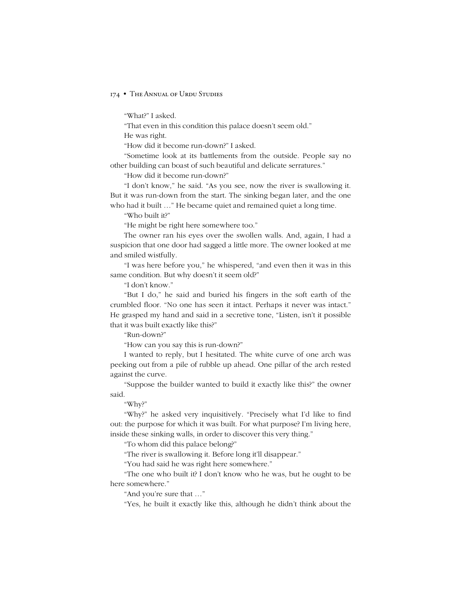# 174 • THE ANNUAL OF URDU STUDIES

ìWhat?î I asked.

"That even in this condition this palace doesn't seem old."

He was right.

"How did it become run-down?" I asked.

"Sometime look at its battlements from the outside. People say no other building can boast of such beautiful and delicate serratures."

"How did it become run-down?"

"I don't know," he said. "As you see, now the river is swallowing it. But it was run-down from the start. The sinking began later, and the one who had it built ..." He became quiet and remained quiet a long time.

"Who built it?"

"He might be right here somewhere too."

The owner ran his eyes over the swollen walls. And, again, I had a suspicion that one door had sagged a little more. The owner looked at me and smiled wistfully.

"I was here before you," he whispered, "and even then it was in this same condition. But why doesn't it seem old?"

"I don't know."

"But I do," he said and buried his fingers in the soft earth of the crumbled floor. "No one has seen it intact. Perhaps it never was intact." He grasped my hand and said in a secretive tone, "Listen, isn't it possible that it was built exactly like this?"

ìRun-down?î

"How can you say this is run-down?"

I wanted to reply, but I hesitated. The white curve of one arch was peeking out from a pile of rubble up ahead. One pillar of the arch rested against the curve.

"Suppose the builder wanted to build it exactly like this?" the owner said.

ìWhy?î

"Why?" he asked very inquisitively. "Precisely what I'd like to find out: the purpose for which it was built. For what purpose? Iím living here, inside these sinking walls, in order to discover this very thing."

"To whom did this palace belong?"

"The river is swallowing it. Before long it'll disappear."

"You had said he was right here somewhere."

ìThe one who built it? I donít know who he was, but he ought to be here somewhere.<sup>"</sup>

"And you're sure that ..."

"Yes, he built it exactly like this, although he didn't think about the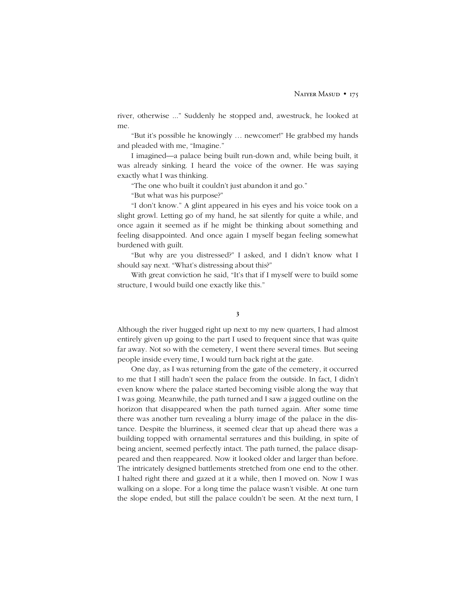river, otherwise ..." Suddenly he stopped and, awestruck, he looked at me.

"But it's possible he knowingly ... newcomer!" He grabbed my hands and pleaded with me, "Imagine."

I imagined—a palace being built run-down and, while being built, it was already sinking. I heard the voice of the owner. He was saying exactly what I was thinking.

"The one who built it couldn't just abandon it and go."

"But what was his purpose?"

"I don't know." A glint appeared in his eyes and his voice took on a slight growl. Letting go of my hand, he sat silently for quite a while, and once again it seemed as if he might be thinking about something and feeling disappointed. And once again I myself began feeling somewhat burdened with guilt.

"But why are you distressed?" I asked, and I didn't know what I should say next. "What's distressing about this?"

With great conviction he said, "It's that if I myself were to build some structure, I would build one exactly like this."

# **3**

Although the river hugged right up next to my new quarters, I had almost entirely given up going to the part I used to frequent since that was quite far away. Not so with the cemetery, I went there several times. But seeing people inside every time, I would turn back right at the gate.

One day, as I was returning from the gate of the cemetery, it occurred to me that I still hadn't seen the palace from the outside. In fact, I didn't even know where the palace started becoming visible along the way that I was going. Meanwhile, the path turned and I saw a jagged outline on the horizon that disappeared when the path turned again. After some time there was another turn revealing a blurry image of the palace in the distance. Despite the blurriness, it seemed clear that up ahead there was a building topped with ornamental serratures and this building, in spite of being ancient, seemed perfectly intact. The path turned, the palace disappeared and then reappeared. Now it looked older and larger than before. The intricately designed battlements stretched from one end to the other. I halted right there and gazed at it a while, then I moved on. Now I was walking on a slope. For a long time the palace wasn't visible. At one turn the slope ended, but still the palace couldn't be seen. At the next turn, I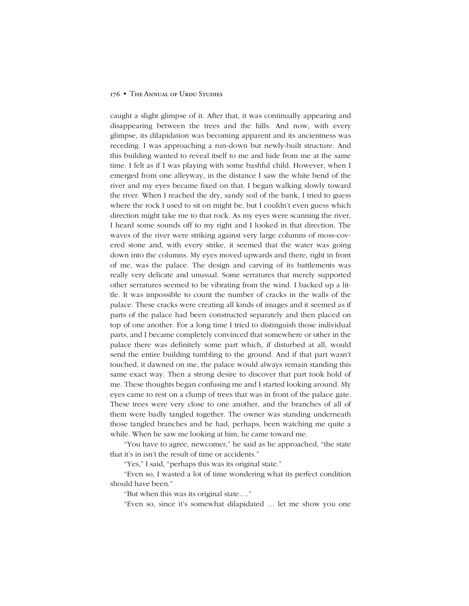caught a slight glimpse of it. After that, it was continually appearing and disappearing between the trees and the hills. And now, with every glimpse, its dilapidation was becoming apparent and its ancientness was receding. I was approaching a run-down but newly-built structure. And this building wanted to reveal itself to me and hide from me at the same time. I felt as if I was playing with some bashful child. However, when I emerged from one alleyway, in the distance I saw the white bend of the river and my eyes became fixed on that. I began walking slowly toward the river. When I reached the dry, sandy soil of the bank, I tried to guess where the rock I used to sit on might be, but I couldn't even guess which direction might take me to that rock. As my eyes were scanning the river, I heard some sounds off to my right and I looked in that direction. The waves of the river were striking against very large columns of moss-covered stone and, with every strike, it seemed that the water was going down into the columns. My eyes moved upwards and there, right in front of me, was the palace. The design and carving of its battlements was really very delicate and unusual. Some serratures that merely supported other serratures seemed to be vibrating from the wind. I backed up a little. It was impossible to count the number of cracks in the walls of the palace. These cracks were creating all kinds of images and it seemed as if parts of the palace had been constructed separately and then placed on top of one another. For a long time I tried to distinguish those individual parts, and I became completely convinced that somewhere or other in the palace there was definitely some part which, if disturbed at all, would send the entire building tumbling to the ground. And if that part wasn't touched, it dawned on me, the palace would always remain standing this same exact way. Then a strong desire to discover that part took hold of me. These thoughts began confusing me and I started looking around. My eyes came to rest on a clump of trees that was in front of the palace gate. These trees were very close to one another, and the branches of all of them were badly tangled together. The owner was standing underneath those tangled branches and he had, perhaps, been watching me quite a while. When he saw me looking at him, he came toward me.

"You have to agree, newcomer," he said as he approached, "the state" that it's in isn't the result of time or accidents."

"Yes," I said, "perhaps this was its original state."

ìEven so, I wasted a lot of time wondering what its perfect condition should have been."

"But when this was its original state...."

"Even so, since it's somewhat dilapidated ... let me show you one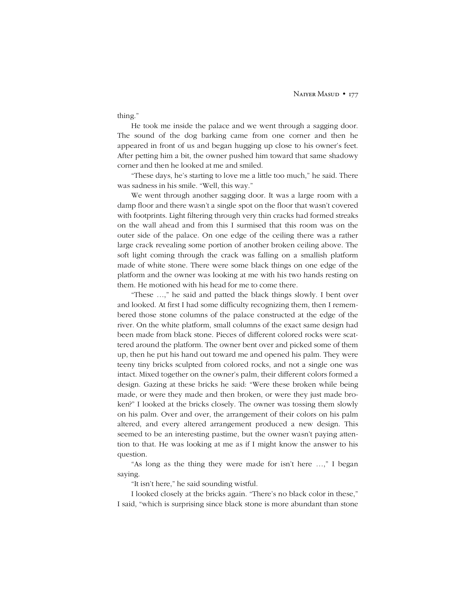thing."

He took me inside the palace and we went through a sagging door. The sound of the dog barking came from one corner and then he appeared in front of us and began hugging up close to his owner's feet. After petting him a bit, the owner pushed him toward that same shadowy corner and then he looked at me and smiled.

"These days, he's starting to love me a little too much," he said. There was sadness in his smile. "Well, this way."

We went through another sagging door. It was a large room with a damp floor and there wasn't a single spot on the floor that wasn't covered with footprints. Light filtering through very thin cracks had formed streaks on the wall ahead and from this I surmised that this room was on the outer side of the palace. On one edge of the ceiling there was a rather large crack revealing some portion of another broken ceiling above. The soft light coming through the crack was falling on a smallish platform made of white stone. There were some black things on one edge of the platform and the owner was looking at me with his two hands resting on them. He motioned with his head for me to come there.

"These ...," he said and patted the black things slowly. I bent over and looked. At first I had some difficulty recognizing them, then I remembered those stone columns of the palace constructed at the edge of the river. On the white platform, small columns of the exact same design had been made from black stone. Pieces of different colored rocks were scattered around the platform. The owner bent over and picked some of them up, then he put his hand out toward me and opened his palm. They were teeny tiny bricks sculpted from colored rocks, and not a single one was intact. Mixed together on the owner's palm, their different colors formed a design. Gazing at these bricks he said: "Were these broken while being made, or were they made and then broken, or were they just made broken?" I looked at the bricks closely. The owner was tossing them slowly on his palm. Over and over, the arrangement of their colors on his palm altered, and every altered arrangement produced a new design. This seemed to be an interesting pastime, but the owner wasn't paying attention to that. He was looking at me as if I might know the answer to his question.

"As long as the thing they were made for isn't here  $\dots$ ," I began saying.

"It isn't here," he said sounding wistful.

I looked closely at the bricks again. "There's no black color in these," I said, "which is surprising since black stone is more abundant than stone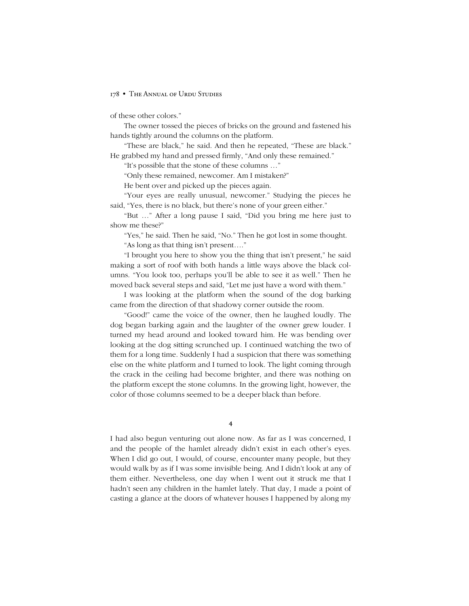of these other colors."

The owner tossed the pieces of bricks on the ground and fastened his hands tightly around the columns on the platform.

"These are black," he said. And then he repeated, "These are black." He grabbed my hand and pressed firmly, "And only these remained."

"It's possible that the stone of these columns  $\ldots$ "

"Only these remained, newcomer. Am I mistaken?"

He bent over and picked up the pieces again.

ìYour eyes are really unusual, newcomer.î Studying the pieces he said, "Yes, there is no black, but there's none of your green either."

"But ..." After a long pause I said, "Did you bring me here just to show me these?"

"Yes," he said. Then he said, "No." Then he got lost in some thought.

"As long as that thing isn't present...."

"I brought you here to show you the thing that isn't present," he said making a sort of roof with both hands a little ways above the black columns. "You look too, perhaps you'll be able to see it as well." Then he moved back several steps and said, "Let me just have a word with them."

I was looking at the platform when the sound of the dog barking came from the direction of that shadowy corner outside the room.

ìGood!î came the voice of the owner, then he laughed loudly. The dog began barking again and the laughter of the owner grew louder. I turned my head around and looked toward him. He was bending over looking at the dog sitting scrunched up. I continued watching the two of them for a long time. Suddenly I had a suspicion that there was something else on the white platform and I turned to look. The light coming through the crack in the ceiling had become brighter, and there was nothing on the platform except the stone columns. In the growing light, however, the color of those columns seemed to be a deeper black than before.

**4**

I had also begun venturing out alone now. As far as I was concerned, I and the people of the hamlet already didn't exist in each other's eyes. When I did go out, I would, of course, encounter many people, but they would walk by as if I was some invisible being. And I didn't look at any of them either. Nevertheless, one day when I went out it struck me that I hadn't seen any children in the hamlet lately. That day, I made a point of casting a glance at the doors of whatever houses I happened by along my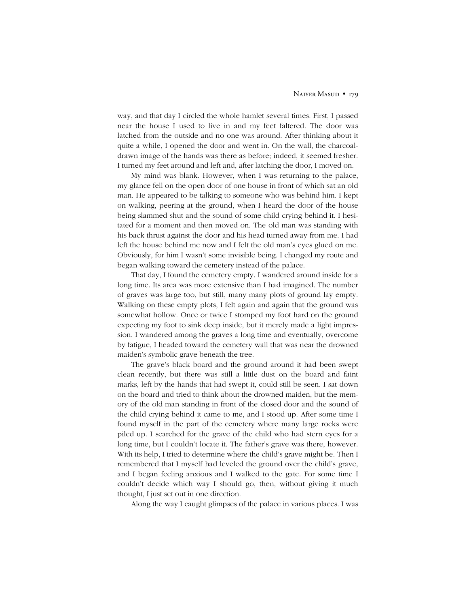way, and that day I circled the whole hamlet several times. First, I passed near the house I used to live in and my feet faltered. The door was latched from the outside and no one was around. After thinking about it quite a while, I opened the door and went in. On the wall, the charcoaldrawn image of the hands was there as before; indeed, it seemed fresher. I turned my feet around and left and, after latching the door, I moved on.

My mind was blank. However, when I was returning to the palace, my glance fell on the open door of one house in front of which sat an old man. He appeared to be talking to someone who was behind him. I kept on walking, peering at the ground, when I heard the door of the house being slammed shut and the sound of some child crying behind it. I hesitated for a moment and then moved on. The old man was standing with his back thrust against the door and his head turned away from me. I had left the house behind me now and I felt the old man's eyes glued on me. Obviously, for him I wasn't some invisible being. I changed my route and began walking toward the cemetery instead of the palace.

That day, I found the cemetery empty. I wandered around inside for a long time. Its area was more extensive than I had imagined. The number of graves was large too, but still, many many plots of ground lay empty. Walking on these empty plots, I felt again and again that the ground was somewhat hollow. Once or twice I stomped my foot hard on the ground expecting my foot to sink deep inside, but it merely made a light impression. I wandered among the graves a long time and eventually, overcome by fatigue, I headed toward the cemetery wall that was near the drowned maiden's symbolic grave beneath the tree.

The grave's black board and the ground around it had been swept clean recently, but there was still a little dust on the board and faint marks, left by the hands that had swept it, could still be seen. I sat down on the board and tried to think about the drowned maiden, but the memory of the old man standing in front of the closed door and the sound of the child crying behind it came to me, and I stood up. After some time I found myself in the part of the cemetery where many large rocks were piled up. I searched for the grave of the child who had stern eyes for a long time, but I couldn't locate it. The father's grave was there, however. With its help, I tried to determine where the child's grave might be. Then I remembered that I myself had leveled the ground over the child's grave, and I began feeling anxious and I walked to the gate. For some time I couldn't decide which way I should go, then, without giving it much thought, I just set out in one direction.

Along the way I caught glimpses of the palace in various places. I was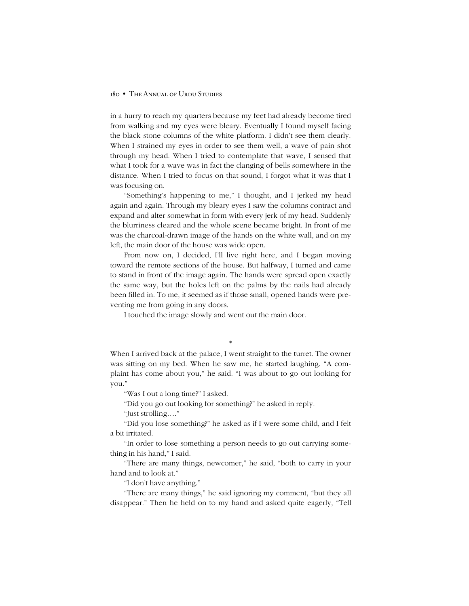in a hurry to reach my quarters because my feet had already become tired from walking and my eyes were bleary. Eventually I found myself facing the black stone columns of the white platform. I didnít see them clearly. When I strained my eyes in order to see them well, a wave of pain shot through my head. When I tried to contemplate that wave, I sensed that what I took for a wave was in fact the clanging of bells somewhere in the distance. When I tried to focus on that sound, I forgot what it was that I was focusing on.

"Something's happening to me," I thought, and I jerked my head again and again. Through my bleary eyes I saw the columns contract and expand and alter somewhat in form with every jerk of my head. Suddenly the blurriness cleared and the whole scene became bright. In front of me was the charcoal-drawn image of the hands on the white wall, and on my left, the main door of the house was wide open.

From now on, I decided, Iíll live right here, and I began moving toward the remote sections of the house. But halfway, I turned and came to stand in front of the image again. The hands were spread open exactly the same way, but the holes left on the palms by the nails had already been filled in. To me, it seemed as if those small, opened hands were preventing me from going in any doors.

I touched the image slowly and went out the main door.

\*

When I arrived back at the palace, I went straight to the turret. The owner was sitting on my bed. When he saw me, he started laughing. "A complaint has come about you," he said. "I was about to go out looking for you."

ìWas I out a long time?î I asked.

ìDid you go out looking for something?î he asked in reply.

"Just strolling...."

ìDid you lose something?î he asked as if I were some child, and I felt a bit irritated.

"In order to lose something a person needs to go out carrying something in his hand," I said.

"There are many things, newcomer," he said, "both to carry in your hand and to look at."

"I don't have anything."

"There are many things," he said ignoring my comment, "but they all disappear." Then he held on to my hand and asked quite eagerly, "Tell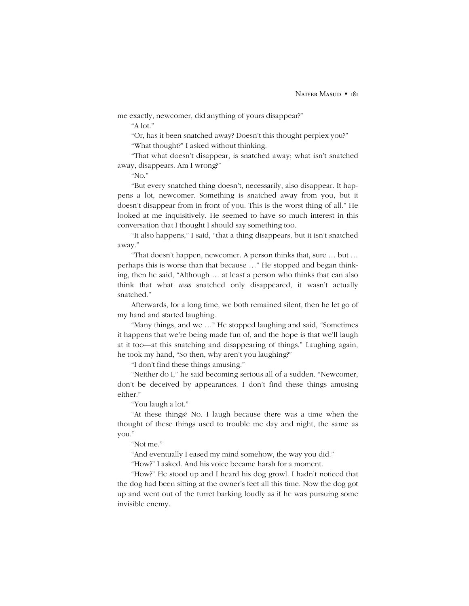me exactly, newcomer, did anything of yours disappear?"

"A lot."

"Or, has it been snatched away? Doesn't this thought perplex you?" ìWhat thought?î I asked without thinking.

"That what doesn't disappear, is snatched away; what isn't snatched away, disappears. Am I wrong?"

" $No.$ "

"But every snatched thing doesn't, necessarily, also disappear. It happens a lot, newcomer. Something is snatched away from you, but it doesn't disappear from in front of you. This is the worst thing of all." He looked at me inquisitively. He seemed to have so much interest in this conversation that I thought I should say something too.

"It also happens," I said, "that a thing disappears, but it isn't snatched away."

"That doesn't happen, newcomer. A person thinks that, sure  $\dots$  but  $\dots$ perhaps this is worse than that because ..." He stopped and began thinking, then he said, "Although ... at least a person who thinks that can also think that what *was* snatched only disappeared, it wasn't actually snatched."

Afterwards, for a long time, we both remained silent, then he let go of my hand and started laughing.

"Many things, and we ..." He stopped laughing and said, "Sometimes it happens that we're being made fun of, and the hope is that we'll laugh at it too—at this snatching and disappearing of things." Laughing again, he took my hand, "So then, why aren't you laughing?"

"I don't find these things amusing."

"Neither do I," he said becoming serious all of a sudden. "Newcomer, don't be deceived by appearances. I don't find these things amusing either."

"You laugh a lot."

ìAt these things? No. I laugh because there was a time when the thought of these things used to trouble me day and night, the same as you."

"Not me."

"And eventually I eased my mind somehow, the way you did."

ìHow?î I asked. And his voice became harsh for a moment.

"How?" He stood up and I heard his dog growl. I hadn't noticed that the dog had been sitting at the owner's feet all this time. Now the dog got up and went out of the turret barking loudly as if he was pursuing some invisible enemy.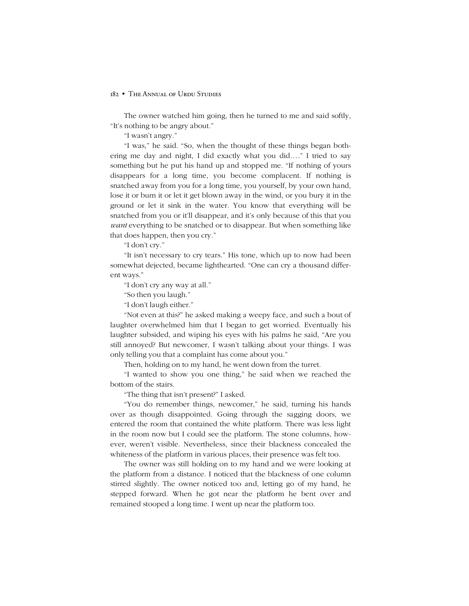The owner watched him going, then he turned to me and said softly, "It's nothing to be angry about."

"I wasn't angry."

"I was," he said. "So, when the thought of these things began bothering me day and night, I did exactly what you did...." I tried to say something but he put his hand up and stopped me. "If nothing of yours disappears for a long time, you become complacent. If nothing is snatched away from you for a long time, you yourself, by your own hand, lose it or burn it or let it get blown away in the wind, or you bury it in the ground or let it sink in the water. You know that everything will be snatched from you or it'll disappear, and it's only because of this that you *want* everything to be snatched or to disappear. But when something like that does happen, then you cry."

"I don't cry."

"It isn't necessary to cry tears." His tone, which up to now had been somewhat dejected, became lighthearted. "One can cry a thousand different ways."

"I don't cry any way at all."

"So then you laugh."

"I don't laugh either."

ìNot even at this?î he asked making a weepy face, and such a bout of laughter overwhelmed him that I began to get worried. Eventually his laughter subsided, and wiping his eyes with his palms he said, "Are you still annoyed? But newcomer, I wasn't talking about your things. I was only telling you that a complaint has come about you."

Then, holding on to my hand, he went down from the turret.

"I wanted to show you one thing," he said when we reached the bottom of the stairs.

"The thing that isn't present?" I asked.

"You do remember things, newcomer," he said, turning his hands over as though disappointed. Going through the sagging doors, we entered the room that contained the white platform. There was less light in the room now but I could see the platform. The stone columns, however, werenít visible. Nevertheless, since their blackness concealed the whiteness of the platform in various places, their presence was felt too.

The owner was still holding on to my hand and we were looking at the platform from a distance. I noticed that the blackness of one column stirred slightly. The owner noticed too and, letting go of my hand, he stepped forward. When he got near the platform he bent over and remained stooped a long time. I went up near the platform too.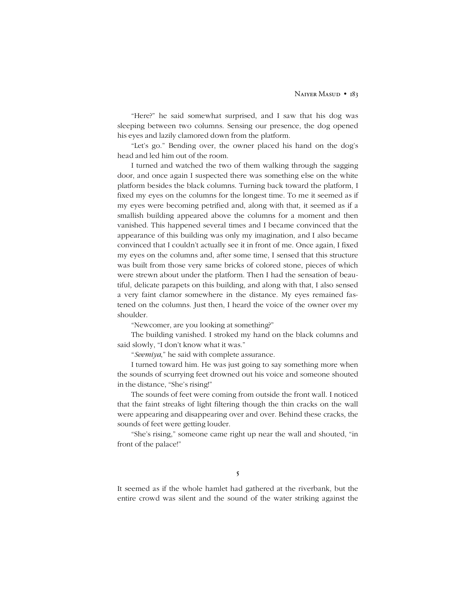"Here?" he said somewhat surprised, and I saw that his dog was sleeping between two columns. Sensing our presence, the dog opened his eyes and lazily clamored down from the platform.

"Let's go." Bending over, the owner placed his hand on the dog's head and led him out of the room.

I turned and watched the two of them walking through the sagging door, and once again I suspected there was something else on the white platform besides the black columns. Turning back toward the platform, I fixed my eyes on the columns for the longest time. To me it seemed as if my eyes were becoming petrified and, along with that, it seemed as if a smallish building appeared above the columns for a moment and then vanished. This happened several times and I became convinced that the appearance of this building was only my imagination, and I also became convinced that I couldn't actually see it in front of me. Once again, I fixed my eyes on the columns and, after some time, I sensed that this structure was built from those very same bricks of colored stone, pieces of which were strewn about under the platform. Then I had the sensation of beautiful, delicate parapets on this building, and along with that, I also sensed a very faint clamor somewhere in the distance. My eyes remained fastened on the columns. Just then, I heard the voice of the owner over my shoulder.

"Newcomer, are you looking at something?"

The building vanished. I stroked my hand on the black columns and said slowly, "I don't know what it was."

ì*Seemiya*,î he said with complete assurance.

I turned toward him. He was just going to say something more when the sounds of scurrying feet drowned out his voice and someone shouted in the distance, "She's rising!"

The sounds of feet were coming from outside the front wall. I noticed that the faint streaks of light filtering though the thin cracks on the wall were appearing and disappearing over and over. Behind these cracks, the sounds of feet were getting louder.

"She's rising," someone came right up near the wall and shouted, "in front of the palace!"

It seemed as if the whole hamlet had gathered at the riverbank, but the entire crowd was silent and the sound of the water striking against the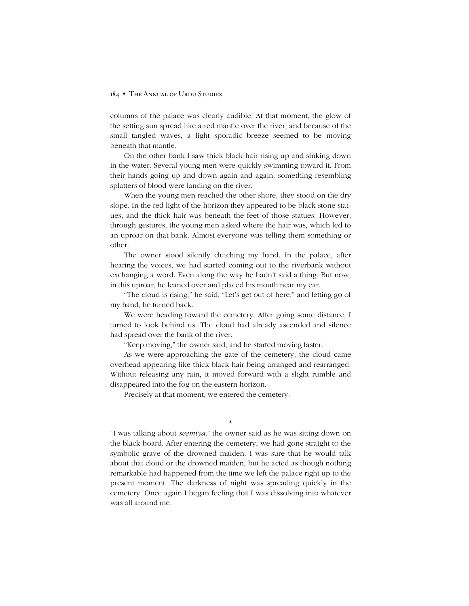columns of the palace was clearly audible. At that moment, the glow of the setting sun spread like a red mantle over the river, and because of the small tangled waves, a light sporadic breeze seemed to be moving beneath that mantle.

On the other bank I saw thick black hair rising up and sinking down in the water. Several young men were quickly swimming toward it. From their hands going up and down again and again, something resembling splatters of blood were landing on the river.

When the young men reached the other shore, they stood on the dry slope. In the red light of the horizon they appeared to be black stone statues, and the thick hair was beneath the feet of those statues. However, through gestures, the young men asked where the hair was, which led to an uproar on that bank. Almost everyone was telling them something or other.

The owner stood silently clutching my hand. In the palace, after hearing the voices, we had started coming out to the riverbank without exchanging a word. Even along the way he hadn't said a thing. But now, in this uproar, he leaned over and placed his mouth near my ear.

"The cloud is rising," he said. "Let's get out of here," and letting go of my hand, he turned back.

We were heading toward the cemetery. After going some distance, I turned to look behind us. The cloud had already ascended and silence had spread over the bank of the river.

"Keep moving," the owner said, and he started moving faster.

As we were approaching the gate of the cemetery, the cloud came overhead appearing like thick black hair being arranged and rearranged. Without releasing any rain, it moved forward with a slight rumble and disappeared into the fog on the eastern horizon.

Precisely at that moment, we entered the cemetery.

"I was talking about *seemiya*," the owner said as he was sitting down on the black board. After entering the cemetery, we had gone straight to the symbolic grave of the drowned maiden. I was sure that he would talk about that cloud or the drowned maiden, but he acted as though nothing remarkable had happened from the time we left the palace right up to the present moment. The darkness of night was spreading quickly in the cemetery. Once again I began feeling that I was dissolving into whatever was all around me.

\*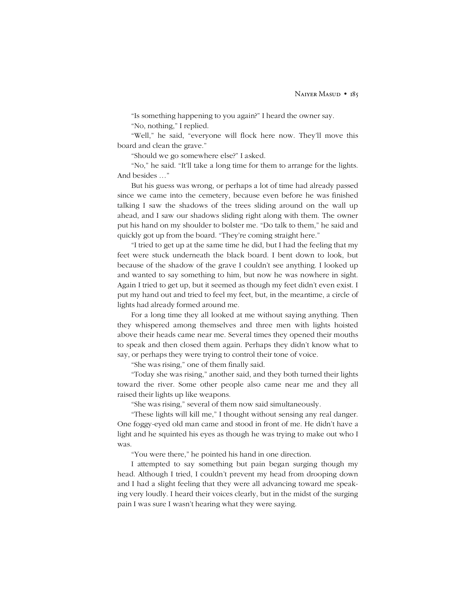"Is something happening to you again?" I heard the owner say. "No, nothing," I replied.

"Well," he said, "everyone will flock here now. They'll move this board and clean the grave."

ìShould we go somewhere else?î I asked.

"No," he said. "It'll take a long time for them to arrange for the lights. And besides ..."

But his guess was wrong, or perhaps a lot of time had already passed since we came into the cemetery, because even before he was finished talking I saw the shadows of the trees sliding around on the wall up ahead, and I saw our shadows sliding right along with them. The owner put his hand on my shoulder to bolster me. "Do talk to them," he said and quickly got up from the board. "They're coming straight here."

ìI tried to get up at the same time he did, but I had the feeling that my feet were stuck underneath the black board. I bent down to look, but because of the shadow of the grave I couldn't see anything. I looked up and wanted to say something to him, but now he was nowhere in sight. Again I tried to get up, but it seemed as though my feet didn't even exist. I put my hand out and tried to feel my feet, but, in the meantime, a circle of lights had already formed around me.

For a long time they all looked at me without saying anything. Then they whispered among themselves and three men with lights hoisted above their heads came near me. Several times they opened their mouths to speak and then closed them again. Perhaps they didn't know what to say, or perhaps they were trying to control their tone of voice.

"She was rising," one of them finally said.

ìToday she was rising,î another said, and they both turned their lights toward the river. Some other people also came near me and they all raised their lights up like weapons.

ìShe was rising,î several of them now said simultaneously.

ìThese lights will kill me,î I thought without sensing any real danger. One foggy-eyed old man came and stood in front of me. He didn't have a light and he squinted his eyes as though he was trying to make out who I was.

ìYou were there,î he pointed his hand in one direction.

I attempted to say something but pain began surging though my head. Although I tried, I couldn't prevent my head from drooping down and I had a slight feeling that they were all advancing toward me speaking very loudly. I heard their voices clearly, but in the midst of the surging pain I was sure I wasn't hearing what they were saying.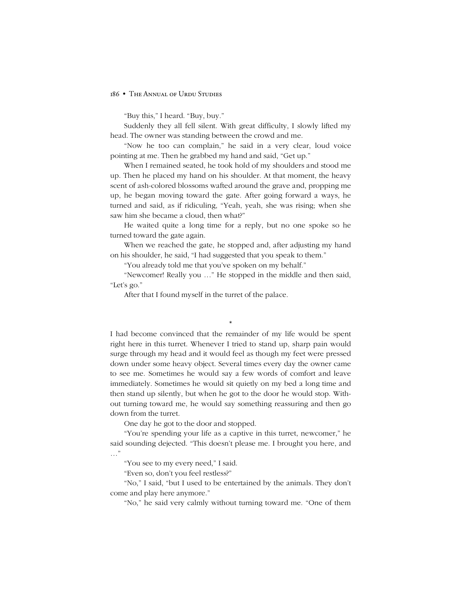"Buy this," I heard. "Buy, buy."

Suddenly they all fell silent. With great difficulty, I slowly lifted my head. The owner was standing between the crowd and me.

"Now he too can complain," he said in a very clear, loud voice pointing at me. Then he grabbed my hand and said, "Get up."

When I remained seated, he took hold of my shoulders and stood me up. Then he placed my hand on his shoulder. At that moment, the heavy scent of ash-colored blossoms wafted around the grave and, propping me up, he began moving toward the gate. After going forward a ways, he turned and said, as if ridiculing, "Yeah, yeah, she was rising; when she saw him she became a cloud, then what?"

He waited quite a long time for a reply, but no one spoke so he turned toward the gate again.

When we reached the gate, he stopped and, after adjusting my hand on his shoulder, he said, "I had suggested that you speak to them."

"You already told me that you've spoken on my behalf."

"Newcomer! Really you ..." He stopped in the middle and then said, "Let's go."

After that I found myself in the turret of the palace.

# \*

I had become convinced that the remainder of my life would be spent right here in this turret. Whenever I tried to stand up, sharp pain would surge through my head and it would feel as though my feet were pressed down under some heavy object. Several times every day the owner came to see me. Sometimes he would say a few words of comfort and leave immediately. Sometimes he would sit quietly on my bed a long time and then stand up silently, but when he got to the door he would stop. Without turning toward me, he would say something reassuring and then go down from the turret.

One day he got to the door and stopped.

"You're spending your life as a captive in this turret, newcomer," he said sounding dejected. "This doesn't please me. I brought you here, and  $\cdots$ "

"You see to my every need," I said.

"Even so, don't you feel restless?"

"No," I said, "but I used to be entertained by the animals. They don't come and play here anymore."

"No," he said very calmly without turning toward me. "One of them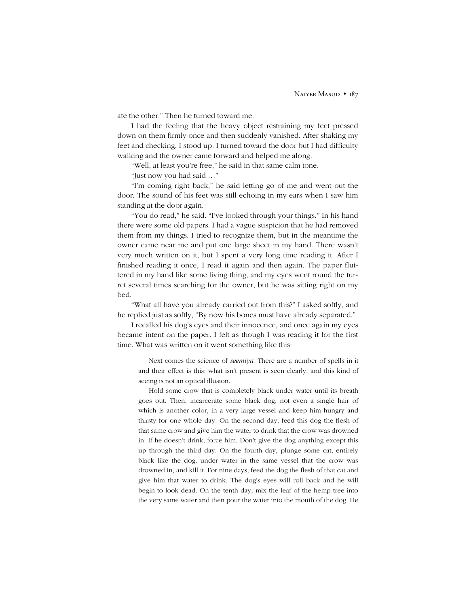ate the other.<sup>\*</sup> Then he turned toward me.

I had the feeling that the heavy object restraining my feet pressed down on them firmly once and then suddenly vanished. After shaking my feet and checking, I stood up. I turned toward the door but I had difficulty walking and the owner came forward and helped me along.

"Well, at least you're free," he said in that same calm tone.

"Just now you had said ..."

"I'm coming right back," he said letting go of me and went out the door. The sound of his feet was still echoing in my ears when I saw him standing at the door again.

"You do read," he said. "I've looked through your things." In his hand there were some old papers. I had a vague suspicion that he had removed them from my things. I tried to recognize them, but in the meantime the owner came near me and put one large sheet in my hand. There wasnít very much written on it, but I spent a very long time reading it. After I finished reading it once, I read it again and then again. The paper fluttered in my hand like some living thing, and my eyes went round the turret several times searching for the owner, but he was sitting right on my bed.

ìWhat all have you already carried out from this?î I asked softly, and he replied just as softly, "By now his bones must have already separated."

I recalled his dog's eyes and their innocence, and once again my eyes became intent on the paper. I felt as though I was reading it for the first time. What was written on it went something like this:

Next comes the science of *seemiya*. There are a number of spells in it and their effect is this: what isn't present is seen clearly, and this kind of seeing is not an optical illusion.

Hold some crow that is completely black under water until its breath goes out. Then, incarcerate some black dog, not even a single hair of which is another color, in a very large vessel and keep him hungry and thirsty for one whole day. On the second day, feed this dog the flesh of that same crow and give him the water to drink that the crow was drowned in. If he doesn't drink, force him. Don't give the dog anything except this up through the third day. On the fourth day, plunge some cat, entirely black like the dog, under water in the same vessel that the crow was drowned in, and kill it. For nine days, feed the dog the flesh of that cat and give him that water to drink. The dog's eyes will roll back and he will begin to look dead. On the tenth day, mix the leaf of the hemp tree into the very same water and then pour the water into the mouth of the dog. He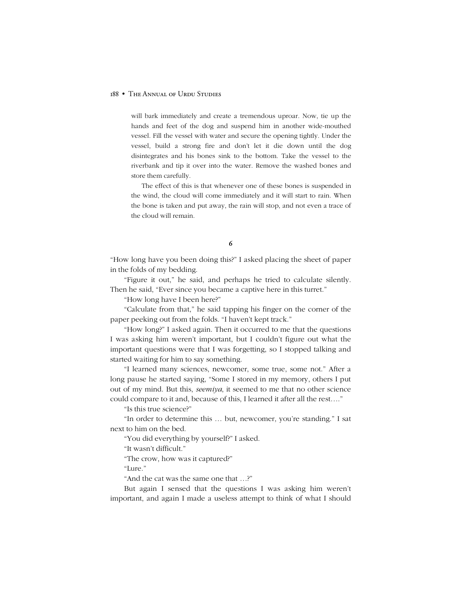will bark immediately and create a tremendous uproar. Now, tie up the hands and feet of the dog and suspend him in another wide-mouthed vessel. Fill the vessel with water and secure the opening tightly. Under the vessel, build a strong fire and don't let it die down until the dog disintegrates and his bones sink to the bottom. Take the vessel to the riverbank and tip it over into the water. Remove the washed bones and store them carefully.

The effect of this is that whenever one of these bones is suspended in the wind, the cloud will come immediately and it will start to rain. When the bone is taken and put away, the rain will stop, and not even a trace of the cloud will remain.

**6**

ìHow long have you been doing this?î I asked placing the sheet of paper in the folds of my bedding.

ìFigure it out,î he said, and perhaps he tried to calculate silently. Then he said, "Ever since you became a captive here in this turret."

"How long have I been here?"

ìCalculate from that,î he said tapping his finger on the corner of the paper peeking out from the folds. "I haven't kept track."

ìHow long?î I asked again. Then it occurred to me that the questions I was asking him weren't important, but I couldn't figure out what the important questions were that I was forgetting, so I stopped talking and started waiting for him to say something.

ìI learned many sciences, newcomer, some true, some not.î After a long pause he started saying, "Some I stored in my memory, others I put out of my mind. But this, *seemiya*, it seemed to me that no other science could compare to it and, because of this, I learned it after all the rest...."

"Is this true science?"

"In order to determine this ... but, newcomer, you're standing." I sat next to him on the bed.

"You did everything by yourself?" I asked.

"It wasn't difficult."

"The crow, how was it captured?"

"Lure."

"And the cat was the same one that ...?"

But again I sensed that the questions I was asking him weren't important, and again I made a useless attempt to think of what I should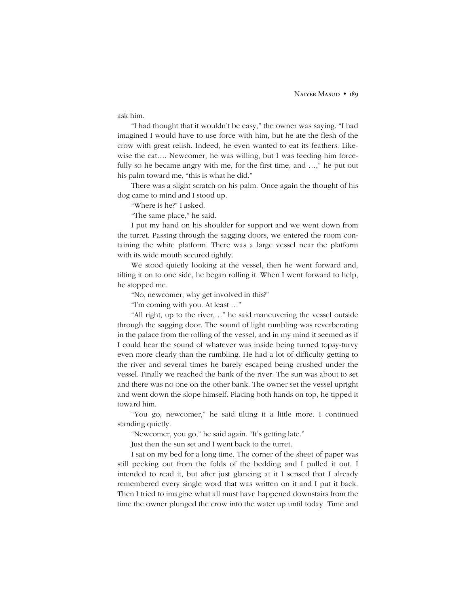ask him.

"I had thought that it wouldn't be easy," the owner was saying. "I had imagined I would have to use force with him, but he ate the flesh of the crow with great relish. Indeed, he even wanted to eat its feathers. Likewise the cat.... Newcomer, he was willing, but I was feeding him forcefully so he became angry with me, for the first time, and  $\ldots$ ," he put out his palm toward me, "this is what he did."

There was a slight scratch on his palm. Once again the thought of his dog came to mind and I stood up.

ìWhere is he?î I asked.

"The same place," he said.

I put my hand on his shoulder for support and we went down from the turret. Passing through the sagging doors, we entered the room containing the white platform. There was a large vessel near the platform with its wide mouth secured tightly.

We stood quietly looking at the vessel, then he went forward and, tilting it on to one side, he began rolling it. When I went forward to help, he stopped me.

"No, newcomer, why get involved in this?"

"I'm coming with you. At least  $\ldots$ "

"All right, up to the river,..." he said maneuvering the vessel outside through the sagging door. The sound of light rumbling was reverberating in the palace from the rolling of the vessel, and in my mind it seemed as if I could hear the sound of whatever was inside being turned topsy-turvy even more clearly than the rumbling. He had a lot of difficulty getting to the river and several times he barely escaped being crushed under the vessel. Finally we reached the bank of the river. The sun was about to set and there was no one on the other bank. The owner set the vessel upright and went down the slope himself. Placing both hands on top, he tipped it toward him.

"You go, newcomer," he said tilting it a little more. I continued standing quietly.

"Newcomer, you go," he said again. "It's getting late."

Just then the sun set and I went back to the turret.

I sat on my bed for a long time. The corner of the sheet of paper was still peeking out from the folds of the bedding and I pulled it out. I intended to read it, but after just glancing at it I sensed that I already remembered every single word that was written on it and I put it back. Then I tried to imagine what all must have happened downstairs from the time the owner plunged the crow into the water up until today. Time and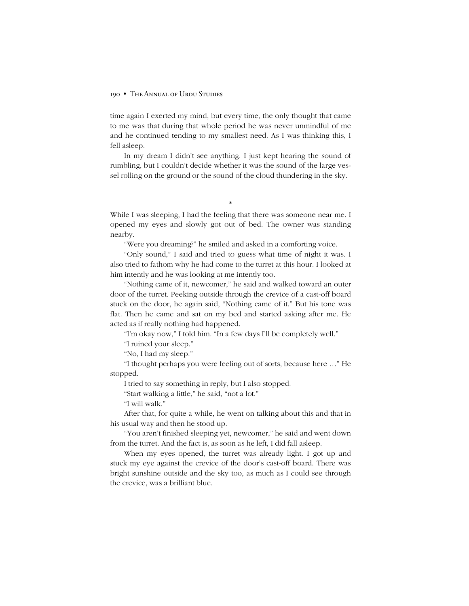time again I exerted my mind, but every time, the only thought that came to me was that during that whole period he was never unmindful of me and he continued tending to my smallest need. As I was thinking this, I fell asleep.

In my dream I didnít see anything. I just kept hearing the sound of rumbling, but I couldn't decide whether it was the sound of the large vessel rolling on the ground or the sound of the cloud thundering in the sky.

# \*

While I was sleeping, I had the feeling that there was someone near me. I opened my eyes and slowly got out of bed. The owner was standing nearby.

ìWere you dreaming?î he smiled and asked in a comforting voice.

ìOnly sound,î I said and tried to guess what time of night it was. I also tried to fathom why he had come to the turret at this hour. I looked at him intently and he was looking at me intently too.

"Nothing came of it, newcomer," he said and walked toward an outer door of the turret. Peeking outside through the crevice of a cast-off board stuck on the door, he again said, "Nothing came of it." But his tone was flat. Then he came and sat on my bed and started asking after me. He acted as if really nothing had happened.

"I'm okay now," I told him. "In a few days I'll be completely well."

"I ruined your sleep."

"No, I had my sleep."

"I thought perhaps you were feeling out of sorts, because here ..." He stopped.

I tried to say something in reply, but I also stopped.

"Start walking a little," he said, "not a lot."

"I will walk."

After that, for quite a while, he went on talking about this and that in his usual way and then he stood up.

ìYou arenít finished sleeping yet, newcomer,î he said and went down from the turret. And the fact is, as soon as he left, I did fall asleep.

When my eyes opened, the turret was already light. I got up and stuck my eye against the crevice of the door's cast-off board. There was bright sunshine outside and the sky too, as much as I could see through the crevice, was a brilliant blue.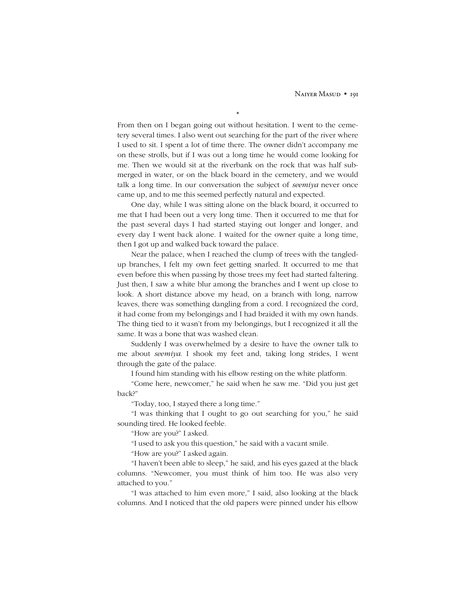From then on I began going out without hesitation. I went to the cemetery several times. I also went out searching for the part of the river where I used to sit. I spent a lot of time there. The owner didn't accompany me on these strolls, but if I was out a long time he would come looking for me. Then we would sit at the riverbank on the rock that was half submerged in water, or on the black board in the cemetery, and we would talk a long time. In our conversation the subject of *seemiya* never once came up, and to me this seemed perfectly natural and expected.

One day, while I was sitting alone on the black board, it occurred to me that I had been out a very long time. Then it occurred to me that for the past several days I had started staying out longer and longer, and every day I went back alone. I waited for the owner quite a long time, then I got up and walked back toward the palace.

Near the palace, when I reached the clump of trees with the tangledup branches, I felt my own feet getting snarled. It occurred to me that even before this when passing by those trees my feet had started faltering. Just then, I saw a white blur among the branches and I went up close to look. A short distance above my head, on a branch with long, narrow leaves, there was something dangling from a cord. I recognized the cord, it had come from my belongings and I had braided it with my own hands. The thing tied to it wasn't from my belongings, but I recognized it all the same. It was a bone that was washed clean.

Suddenly I was overwhelmed by a desire to have the owner talk to me about *seemiya*. I shook my feet and, taking long strides, I went through the gate of the palace.

I found him standing with his elbow resting on the white platform.

"Come here, newcomer," he said when he saw me. "Did you just get back?"

"Today, too, I stayed there a long time."

"I was thinking that I ought to go out searching for you," he said sounding tired. He looked feeble.

"How are you?" I asked.

"I used to ask you this question," he said with a vacant smile.

"How are you?" I asked again.

"I haven't been able to sleep," he said, and his eyes gazed at the black columns. "Newcomer, you must think of him too. He was also very attached to you."

"I was attached to him even more," I said, also looking at the black columns. And I noticed that the old papers were pinned under his elbow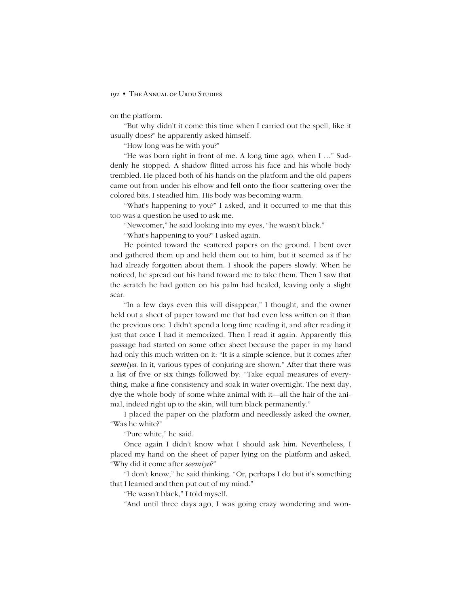on the platform.

ìBut why didnít it come this time when I carried out the spell, like it usually does?" he apparently asked himself.

"How long was he with you?"

"He was born right in front of me. A long time ago, when I ..." Suddenly he stopped. A shadow flitted across his face and his whole body trembled. He placed both of his hands on the platform and the old papers came out from under his elbow and fell onto the floor scattering over the colored bits. I steadied him. His body was becoming warm.

ìWhatís happening to you?î I asked, and it occurred to me that this too was a question he used to ask me.

"Newcomer," he said looking into my eyes, "he wasn't black."

"What's happening to you?" I asked again.

He pointed toward the scattered papers on the ground. I bent over and gathered them up and held them out to him, but it seemed as if he had already forgotten about them. I shook the papers slowly. When he noticed, he spread out his hand toward me to take them. Then I saw that the scratch he had gotten on his palm had healed, leaving only a slight scar.

"In a few days even this will disappear," I thought, and the owner held out a sheet of paper toward me that had even less written on it than the previous one. I didn't spend a long time reading it, and after reading it just that once I had it memorized. Then I read it again. Apparently this passage had started on some other sheet because the paper in my hand had only this much written on it: "It is a simple science, but it comes after *seemiya*. In it, various types of conjuring are shown." After that there was a list of five or six things followed by: "Take equal measures of everything, make a fine consistency and soak in water overnight. The next day, dye the whole body of some white animal with it—all the hair of the animal, indeed right up to the skin, will turn black permanently."

I placed the paper on the platform and needlessly asked the owner, "Was he white?"

"Pure white," he said.

Once again I didnít know what I should ask him. Nevertheless, I placed my hand on the sheet of paper lying on the platform and asked, ìWhy did it come after *seemiya*?î

"I don't know," he said thinking. "Or, perhaps I do but it's something that I learned and then put out of my mind."

"He wasn't black," I told myself.

"And until three days ago, I was going crazy wondering and won-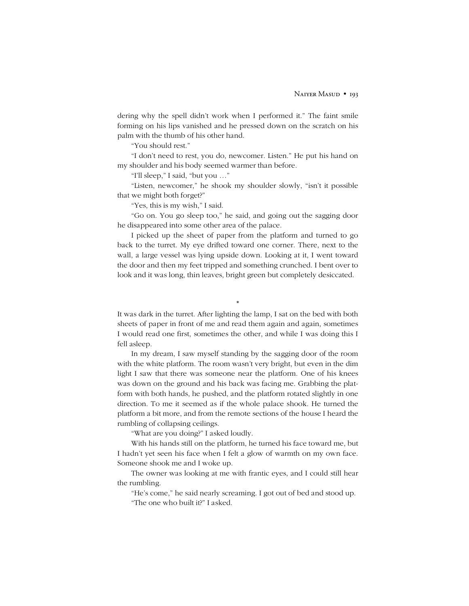dering why the spell didn't work when I performed it." The faint smile forming on his lips vanished and he pressed down on the scratch on his palm with the thumb of his other hand.

"You should rest."

"I don't need to rest, you do, newcomer. Listen." He put his hand on my shoulder and his body seemed warmer than before.

"I'll sleep," I said, "but you  $\ldots$ "

"Listen, newcomer," he shook my shoulder slowly, "isn't it possible that we might both forget?"

"Yes, this is my wish," I said.

ìGo on. You go sleep too,î he said, and going out the sagging door he disappeared into some other area of the palace.

I picked up the sheet of paper from the platform and turned to go back to the turret. My eye drifted toward one corner. There, next to the wall, a large vessel was lying upside down. Looking at it, I went toward the door and then my feet tripped and something crunched. I bent over to look and it was long, thin leaves, bright green but completely desiccated.

\*

It was dark in the turret. After lighting the lamp, I sat on the bed with both sheets of paper in front of me and read them again and again, sometimes I would read one first, sometimes the other, and while I was doing this I fell asleep.

In my dream, I saw myself standing by the sagging door of the room with the white platform. The room wasn't very bright, but even in the dim light I saw that there was someone near the platform. One of his knees was down on the ground and his back was facing me. Grabbing the platform with both hands, he pushed, and the platform rotated slightly in one direction. To me it seemed as if the whole palace shook. He turned the platform a bit more, and from the remote sections of the house I heard the rumbling of collapsing ceilings.

ìWhat are you doing?î I asked loudly.

With his hands still on the platform, he turned his face toward me, but I hadn't yet seen his face when I felt a glow of warmth on my own face. Someone shook me and I woke up.

The owner was looking at me with frantic eyes, and I could still hear the rumbling.

"He's come," he said nearly screaming. I got out of bed and stood up. "The one who built it?" I asked.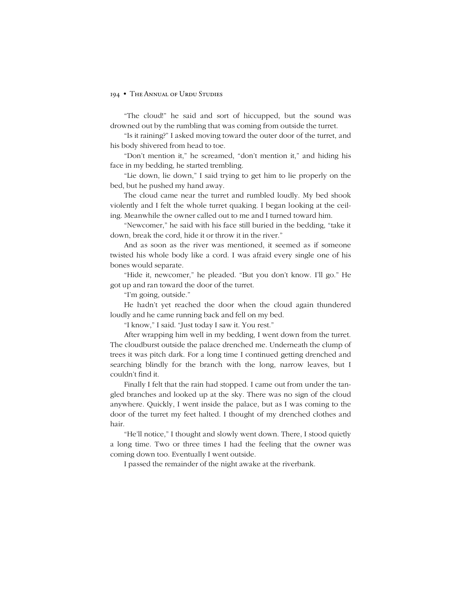ìThe cloud!î he said and sort of hiccupped, but the sound was drowned out by the rumbling that was coming from outside the turret.

"Is it raining?" I asked moving toward the outer door of the turret, and his body shivered from head to toe.

"Don't mention it," he screamed, "don't mention it," and hiding his face in my bedding, he started trembling.

"Lie down, lie down," I said trying to get him to lie properly on the bed, but he pushed my hand away.

The cloud came near the turret and rumbled loudly. My bed shook violently and I felt the whole turret quaking. I began looking at the ceiling. Meanwhile the owner called out to me and I turned toward him.

"Newcomer," he said with his face still buried in the bedding, "take it down, break the cord, hide it or throw it in the river."

And as soon as the river was mentioned, it seemed as if someone twisted his whole body like a cord. I was afraid every single one of his bones would separate.

"Hide it, newcomer," he pleaded. "But you don't know. I'll go." He got up and ran toward the door of the turret.

"I'm going, outside."

He hadnít yet reached the door when the cloud again thundered loudly and he came running back and fell on my bed.

"I know," I said. "Just today I saw it. You rest."

After wrapping him well in my bedding, I went down from the turret. The cloudburst outside the palace drenched me. Underneath the clump of trees it was pitch dark. For a long time I continued getting drenched and searching blindly for the branch with the long, narrow leaves, but I couldn't find it.

Finally I felt that the rain had stopped. I came out from under the tangled branches and looked up at the sky. There was no sign of the cloud anywhere. Quickly, I went inside the palace, but as I was coming to the door of the turret my feet halted. I thought of my drenched clothes and hair.

"He'll notice," I thought and slowly went down. There, I stood quietly a long time. Two or three times I had the feeling that the owner was coming down too. Eventually I went outside.

I passed the remainder of the night awake at the riverbank.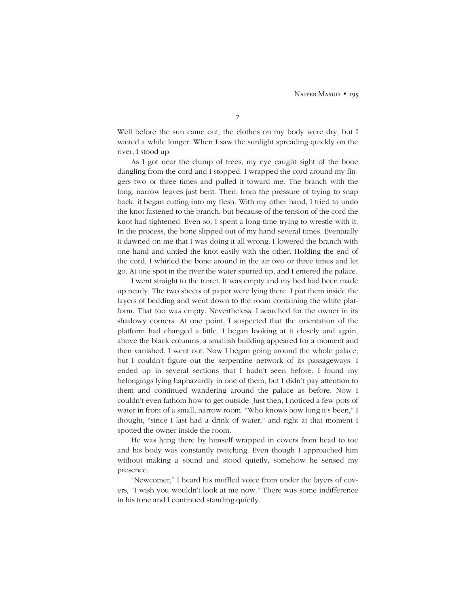**7**

Well before the sun came out, the clothes on my body were dry, but I waited a while longer. When I saw the sunlight spreading quickly on the river, I stood up.

As I got near the clump of trees, my eye caught sight of the bone dangling from the cord and I stopped. I wrapped the cord around my fingers two or three times and pulled it toward me. The branch with the long, narrow leaves just bent. Then, from the pressure of trying to snap back, it began cutting into my flesh. With my other hand, I tried to undo the knot fastened to the branch, but because of the tension of the cord the knot had tightened. Even so, I spent a long time trying to wrestle with it. In the process, the bone slipped out of my hand several times. Eventually it dawned on me that I was doing it all wrong. I lowered the branch with one hand and untied the knot easily with the other. Holding the end of the cord, I whirled the bone around in the air two or three times and let go. At one spot in the river the water spurted up, and I entered the palace.

I went straight to the turret. It was empty and my bed had been made up neatly. The two sheets of paper were lying there. I put them inside the layers of bedding and went down to the room containing the white platform. That too was empty. Nevertheless, I searched for the owner in its shadowy corners. At one point, I suspected that the orientation of the platform had changed a little. I began looking at it closely and again, above the black columns, a smallish building appeared for a moment and then vanished. I went out. Now I began going around the whole palace, but I couldn't figure out the serpentine network of its passageways. I ended up in several sections that I hadn't seen before. I found my belongings lying haphazardly in one of them, but I didn't pay attention to them and continued wandering around the palace as before. Now I couldn't even fathom how to get outside. Just then, I noticed a few pots of water in front of a small, narrow room. "Who knows how long it's been," I thought, "since I last had a drink of water," and right at that moment I spotted the owner inside the room.

He was lying there by himself wrapped in covers from head to toe and his body was constantly twitching. Even though I approached him without making a sound and stood quietly, somehow he sensed my presence.

"Newcomer," I heard his muffled voice from under the layers of covers, "I wish you wouldn't look at me now." There was some indifference in his tone and I continued standing quietly.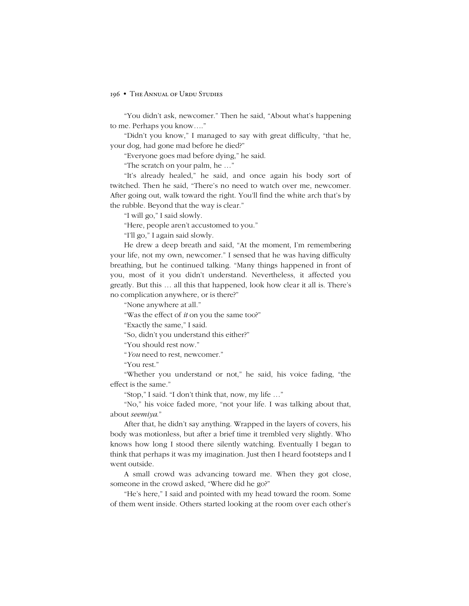"You didn't ask, newcomer." Then he said, "About what's happening to me. Perhaps you know...."

"Didn't you know," I managed to say with great difficulty, "that he, your dog, had gone mad before he died?"

"Everyone goes mad before dying," he said.

"The scratch on your palm, he  $\dots$ "

"It's already healed," he said, and once again his body sort of twitched. Then he said, "There's no need to watch over me, newcomer. After going out, walk toward the right. You'll find the white arch that's by the rubble. Beyond that the way is clear."

"I will go," I said slowly.

"Here, people aren't accustomed to you."

ìIíll go,î I again said slowly.

He drew a deep breath and said, "At the moment, I'm remembering your life, not my own, newcomer." I sensed that he was having difficulty breathing, but he continued talking. "Many things happened in front of you, most of it you didnít understand. Nevertheless, it affected you greatly. But this ... all this that happened, look how clear it all is. There's no complication anywhere, or is there?"

"None anywhere at all."

ìWas the effect of *it* on you the same too?î

ìExactly the same,î I said.

"So, didn't you understand this either?"

"You should rest now."

*<sup>ª</sup>You* need to rest, newcomer.<sup>"</sup>

"You rest."

"Whether you understand or not," he said, his voice fading, "the effect is the same."

"Stop," I said. "I don't think that, now, my life ..."

"No," his voice faded more, "not your life. I was talking about that, about *seemiya*."

After that, he didn't say anything. Wrapped in the layers of covers, his body was motionless, but after a brief time it trembled very slightly. Who knows how long I stood there silently watching. Eventually I began to think that perhaps it was my imagination. Just then I heard footsteps and I went outside.

A small crowd was advancing toward me. When they got close, someone in the crowd asked, "Where did he go?"

"He's here," I said and pointed with my head toward the room. Some of them went inside. Others started looking at the room over each other's